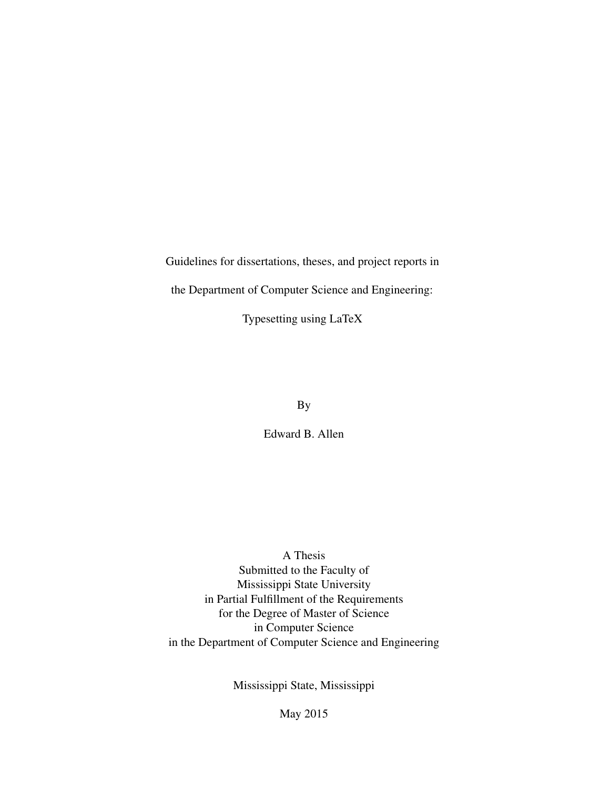Guidelines for dissertations, theses, and project reports in

the Department of Computer Science and Engineering:

Typesetting using LaTeX

By

Edward B. Allen

A Thesis Submitted to the Faculty of Mississippi State University in Partial Fulfillment of the Requirements for the Degree of Master of Science in Computer Science in the Department of Computer Science and Engineering

Mississippi State, Mississippi

May 2015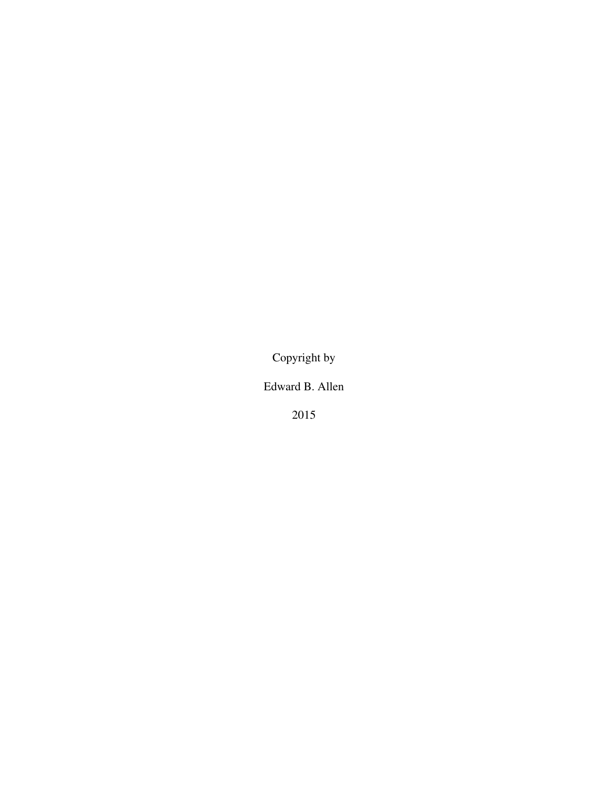Copyright by

Edward B. Allen

2015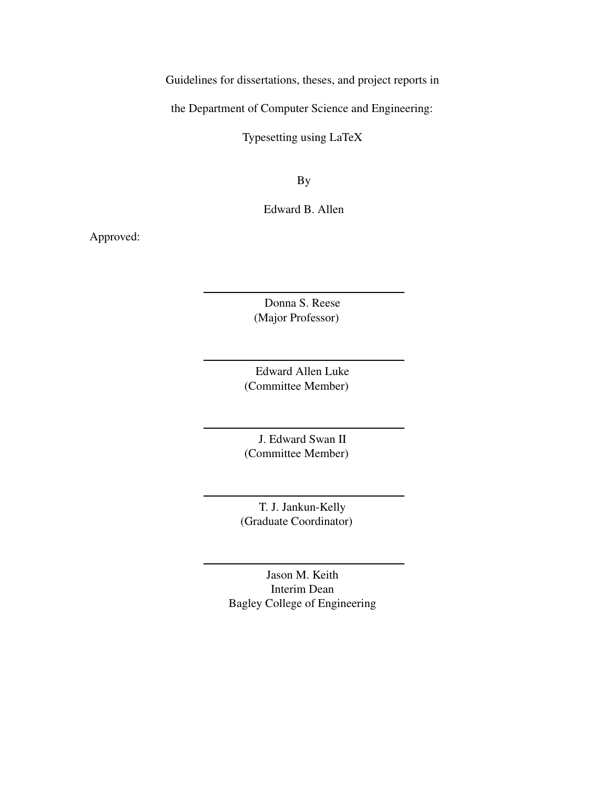Guidelines for dissertations, theses, and project reports in

the Department of Computer Science and Engineering:

Typesetting using LaTeX

By

Edward B. Allen

Approved:

Donna S. Reese (Major Professor)

Edward Allen Luke (Committee Member)

J. Edward Swan II (Committee Member)

T. J. Jankun-Kelly (Graduate Coordinator)

Jason M. Keith Interim Dean Bagley College of Engineering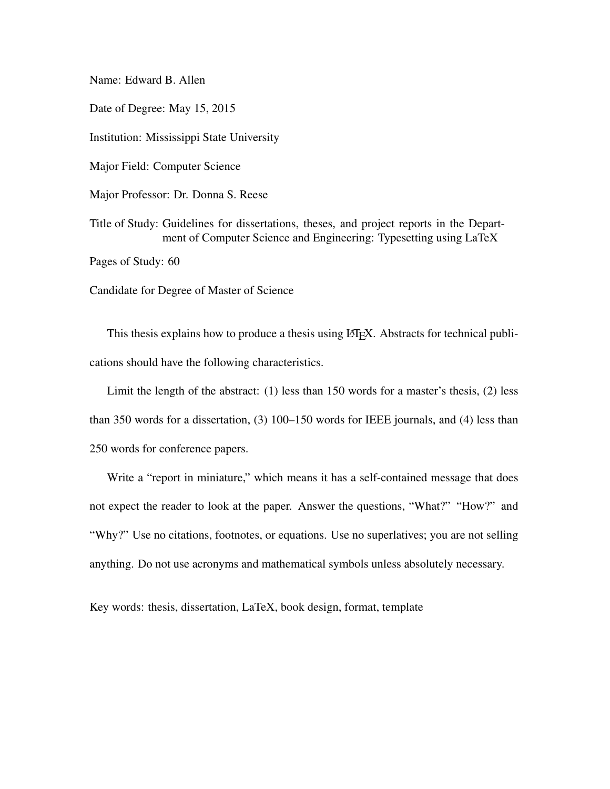Name: Edward B. Allen Date of Degree: May 15, 2015 Institution: Mississippi State University Major Field: Computer Science Major Professor: Dr. Donna S. Reese Title of Study: Guidelines for dissertations, theses, and project reports in the Department of Computer Science and Engineering: Typesetting using LaTeX Pages of Study: 60 Candidate for Degree of Master of Science

This thesis explains how to produce a thesis using LATEX. Abstracts for technical publications should have the following characteristics.

Limit the length of the abstract: (1) less than 150 words for a master's thesis, (2) less than 350 words for a dissertation, (3) 100–150 words for IEEE journals, and (4) less than 250 words for conference papers.

Write a "report in miniature," which means it has a self-contained message that does not expect the reader to look at the paper. Answer the questions, "What?" "How?" and "Why?" Use no citations, footnotes, or equations. Use no superlatives; you are not selling anything. Do not use acronyms and mathematical symbols unless absolutely necessary.

Key words: thesis, dissertation, LaTeX, book design, format, template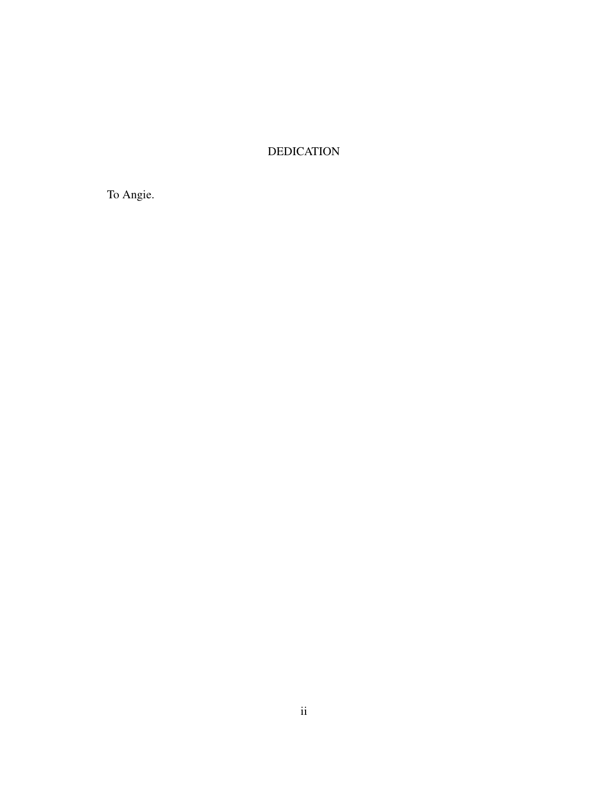# DEDICATION

To Angie.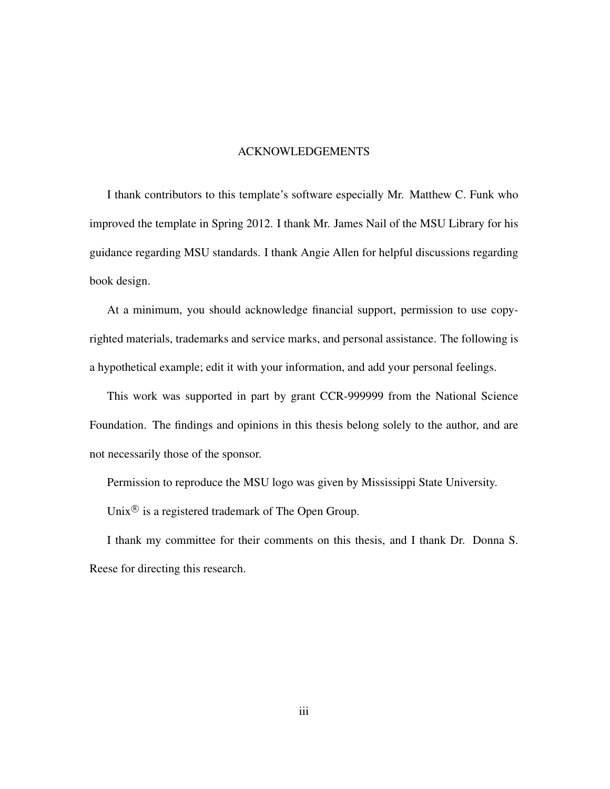#### ACKNOWLEDGEMENTS

I thank contributors to this template's software especially Mr. Matthew C. Funk who improved the template in Spring 2012. I thank Mr. James Nail of the MSU Library for his guidance regarding MSU standards. I thank Angie Allen for helpful discussions regarding book design.

At a minimum, you should acknowledge financial support, permission to use copyrighted materials, trademarks and service marks, and personal assistance. The following is a hypothetical example; edit it with your information, and add your personal feelings.

This work was supported in part by grant CCR-999999 from the National Science Foundation. The findings and opinions in this thesis belong solely to the author, and are not necessarily those of the sponsor.

Permission to reproduce the MSU logo was given by Mississippi State University.

Unix $\mathcal{B}$  is a registered trademark of The Open Group.

I thank my committee for their comments on this thesis, and I thank Dr. Donna S. Reese for directing this research.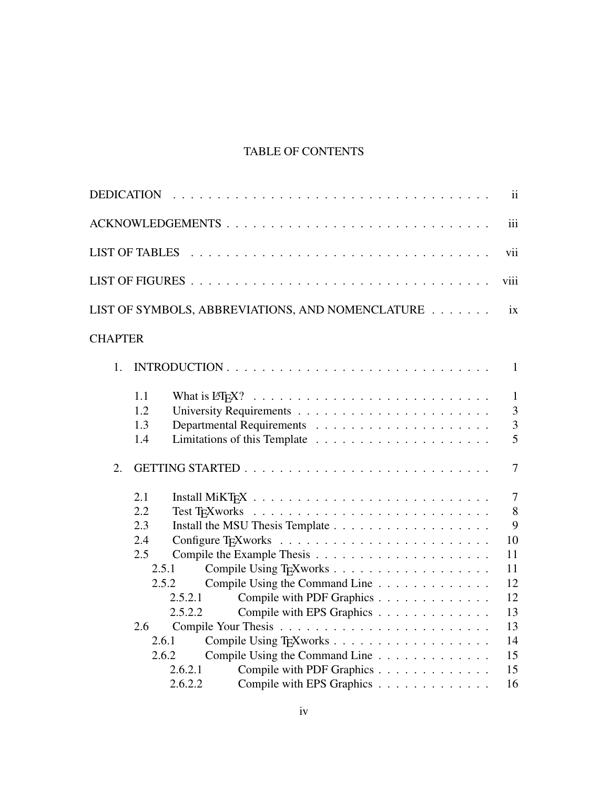# TABLE OF CONTENTS

|                | <b>DEDICATION</b>        |                    |                                                                                          |  | $\mathbf{ii}$                                         |
|----------------|--------------------------|--------------------|------------------------------------------------------------------------------------------|--|-------------------------------------------------------|
|                |                          |                    | ACKNOWLEDGEMENTS                                                                         |  | iii                                                   |
|                | <b>LIST OF TABLES</b>    |                    |                                                                                          |  | vii                                                   |
|                |                          |                    |                                                                                          |  | viii                                                  |
|                |                          |                    | LIST OF SYMBOLS, ABBREVIATIONS, AND NOMENCLATURE                                         |  | ix                                                    |
| <b>CHAPTER</b> |                          |                    |                                                                                          |  |                                                       |
| 1.             |                          |                    |                                                                                          |  | $\mathbf{1}$                                          |
|                | 1.1<br>1.2<br>1.3<br>1.4 |                    |                                                                                          |  | $\mathbf{1}$<br>$\overline{3}$<br>$\overline{3}$<br>5 |
| 2.             |                          |                    |                                                                                          |  | $\overline{7}$                                        |
|                | 2.1<br>2.2<br>2.3        |                    |                                                                                          |  | $\overline{7}$<br>8<br>9                              |
|                | 2.4                      |                    |                                                                                          |  | 10                                                    |
|                | 2.5                      |                    |                                                                                          |  | 11                                                    |
|                | 2.5.1<br>2.5.2           | 2.5.2.1<br>2.5.2.2 | Compile Using the Command Line<br>Compile with PDF Graphics<br>Compile with EPS Graphics |  | 11<br>12<br>12<br>13                                  |
|                | 2.6                      |                    |                                                                                          |  | 13                                                    |
|                | 2.6.1<br>2.6.2           | 2.6.2.1            | Compile Using the Command Line<br>Compile with PDF Graphics                              |  | 14<br>15<br>15                                        |
|                |                          | 2.6.2.2            | Compile with EPS Graphics                                                                |  | 16                                                    |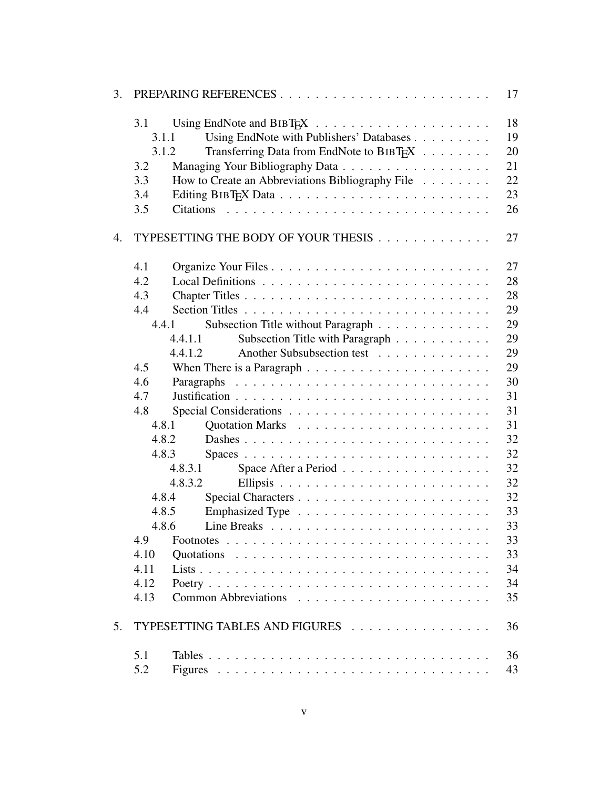| 3. |       | PREPARING REFERENCES                                                         | 17 |
|----|-------|------------------------------------------------------------------------------|----|
|    | 3.1   |                                                                              | 18 |
|    | 3.1.1 | Using EndNote with Publishers' Databases                                     | 19 |
|    | 3.1.2 | Transferring Data from EndNote to BIBT <sub>F</sub> X                        | 20 |
|    | 3.2   |                                                                              | 21 |
|    | 3.3   | How to Create an Abbreviations Bibliography File                             | 22 |
|    | 3.4   |                                                                              | 23 |
|    | 3.5   |                                                                              | 26 |
| 4. |       | TYPESETTING THE BODY OF YOUR THESIS                                          | 27 |
|    | 4.1   |                                                                              | 27 |
|    | 4.2   |                                                                              | 28 |
|    | 4.3   |                                                                              | 28 |
|    | 4.4   |                                                                              | 29 |
|    | 4.4.1 | Subsection Title without Paragraph                                           | 29 |
|    |       | Subsection Title with Paragraph<br>4.4.1.1                                   | 29 |
|    |       | Another Subsubsection test<br>4.4.1.2                                        | 29 |
|    | 4.5   |                                                                              | 29 |
|    | 4.6   | When There is a Paragraph $\ldots \ldots \ldots \ldots \ldots \ldots \ldots$ | 30 |
|    | 4.7   |                                                                              | 31 |
|    |       |                                                                              | 31 |
|    | 4.8   |                                                                              | 31 |
|    | 4.8.1 |                                                                              |    |
|    | 4.8.2 |                                                                              | 32 |
|    | 4.8.3 |                                                                              | 32 |
|    |       | Space After a Period<br>4.8.3.1                                              | 32 |
|    |       | 4.8.3.2                                                                      | 32 |
|    | 4.8.4 |                                                                              | 32 |
|    | 4.8.5 |                                                                              | 33 |
|    | 4.8.6 |                                                                              | 33 |
|    | 4.9   |                                                                              | 33 |
|    | 4.10  |                                                                              | 33 |
|    | 4.11  |                                                                              | 34 |
|    | 4.12  |                                                                              | 34 |
|    | 4.13  |                                                                              | 35 |
| 5. |       | TYPESETTING TABLES AND FIGURES                                               | 36 |
|    | 5.1   |                                                                              | 36 |
|    | 5.2   |                                                                              | 43 |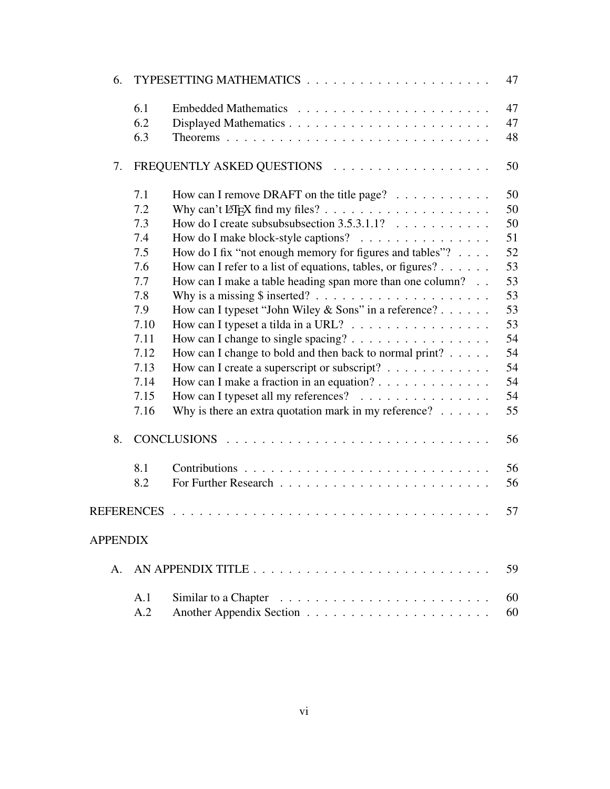| 6.              |                   |                                                                       | 47 |
|-----------------|-------------------|-----------------------------------------------------------------------|----|
|                 | 6.1               |                                                                       | 47 |
|                 | 6.2               |                                                                       | 47 |
|                 | 6.3               |                                                                       | 48 |
| 7.              |                   | FREQUENTLY ASKED QUESTIONS                                            | 50 |
|                 | 7.1               | How can I remove DRAFT on the title page? $\dots \dots \dots$         | 50 |
|                 | 7.2               |                                                                       | 50 |
|                 | 7.3               | How do I create subsubsubsection $3.5.3.1.1$ ?                        | 50 |
|                 | 7.4               | How do I make block-style captions?                                   | 51 |
|                 | 7.5               | How do I fix "not enough memory for figures and tables"?              | 52 |
|                 | 7.6               | How can I refer to a list of equations, tables, or figures?           | 53 |
|                 | 7.7               | How can I make a table heading span more than one column?             | 53 |
|                 | 7.8               |                                                                       | 53 |
|                 | 7.9               | How can I typeset "John Wiley & Sons" in a reference?                 | 53 |
|                 | 7.10              | How can I typeset a tilda in a URL?                                   | 53 |
|                 | 7.11              | How can I change to single spacing?                                   | 54 |
|                 | 7.12              | How can I change to bold and then back to normal print? $\ldots$ .    | 54 |
|                 | 7.13              | How can I create a superscript or subscript? $\ldots$                 | 54 |
|                 | 7.14              | How can I make a fraction in an equation?                             | 54 |
|                 | 7.15              | How can I typeset all my references?                                  | 54 |
|                 | 7.16              | Why is there an extra quotation mark in my reference? $\ldots \ldots$ | 55 |
| 8.              |                   |                                                                       | 56 |
|                 | 8.1               |                                                                       | 56 |
|                 | 8.2               |                                                                       | 56 |
|                 | <b>REFERENCES</b> |                                                                       | 57 |
| <b>APPENDIX</b> |                   |                                                                       |    |
| $A_{\cdot}$     |                   |                                                                       | 59 |
|                 | A.1               |                                                                       | 60 |
|                 | A.2               |                                                                       | 60 |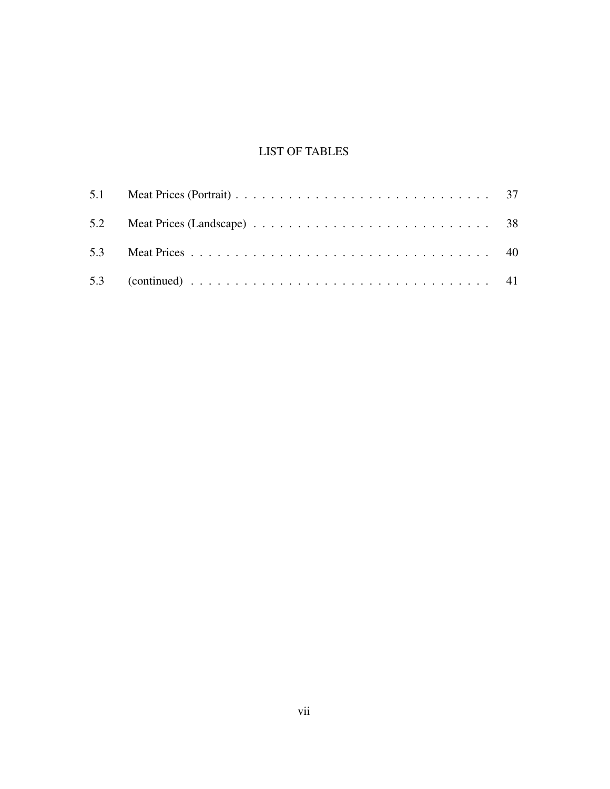# LIST OF TABLES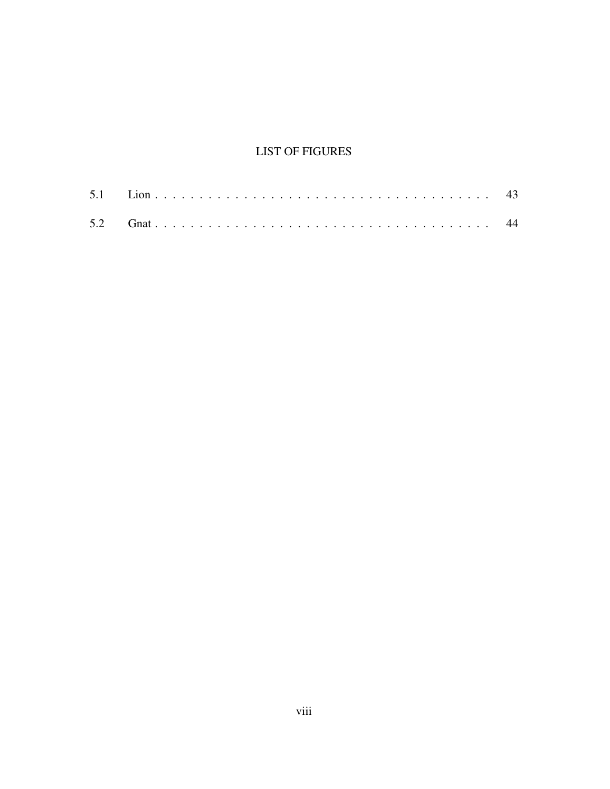# **LIST OF FIGURES**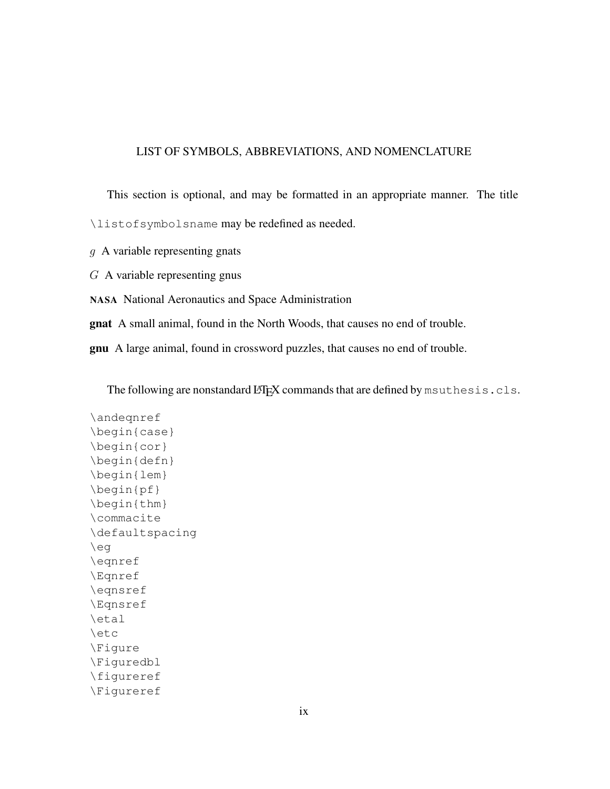#### LIST OF SYMBOLS, ABBREVIATIONS, AND NOMENCLATURE

This section is optional, and may be formatted in an appropriate manner. The title \listofsymbolsname may be redefined as needed. g A variable representing gnats G A variable representing gnus NASA National Aeronautics and Space Administration

gnat A small animal, found in the North Woods, that causes no end of trouble.

gnu A large animal, found in crossword puzzles, that causes no end of trouble.

The following are nonstandard LATEX commands that are defined by msuthesis.cls.

\andeqnref \begin{case} \begin{cor} \begin{defn} \begin{lem} \begin{pf} \begin{thm} \commacite \defaultspacing \eg \eqnref \Eqnref \eqnsref \Eqnsref \etal \etc \Figure \Figuredbl \figureref \Figureref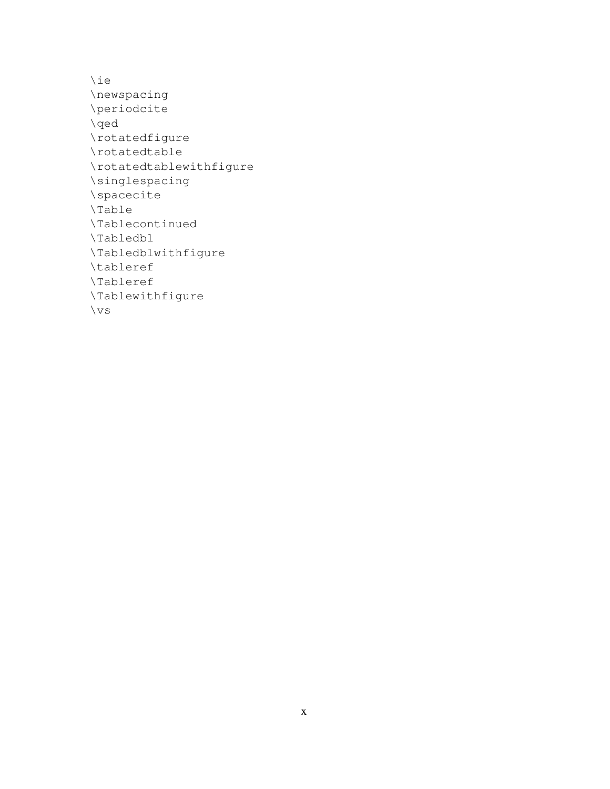\ie \newspacing \periodcite \qed \rotatedfigure \rotatedtable \rotatedtablewithfigure \singlespacing \spacecite \Table \Tablecontinued \Tabledbl \Tabledblwithfigure \tableref \Tableref \Tablewithfigure \vs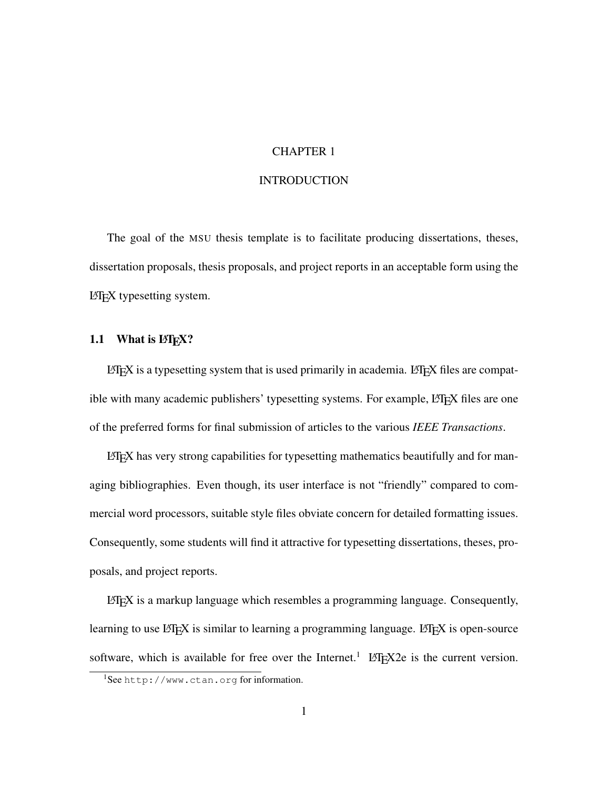## CHAPTER 1

# INTRODUCTION

The goal of the MSU thesis template is to facilitate producing dissertations, theses, dissertation proposals, thesis proposals, and project reports in an acceptable form using the LAT<sub>E</sub>X typesetting system.

# 1.1 What is  $E\llbracket f \rrbracket$ .

LATEX is a typesetting system that is used primarily in academia. LATEX files are compatible with many academic publishers' typesetting systems. For example, LATEX files are one of the preferred forms for final submission of articles to the various *IEEE Transactions*.

 $\Delta E$ T<sub>EX</sub> has very strong capabilities for typesetting mathematics beautifully and for managing bibliographies. Even though, its user interface is not "friendly" compared to commercial word processors, suitable style files obviate concern for detailed formatting issues. Consequently, some students will find it attractive for typesetting dissertations, theses, proposals, and project reports.

 $L^2E$  is a markup language which resembles a programming language. Consequently, learning to use LATEX is similar to learning a programming language. LATEX is open-source software, which is available for free over the Internet.<sup>1</sup> LAT<sub>E</sub>X2e is the current version.

<sup>1</sup>See http://www.ctan.org for information.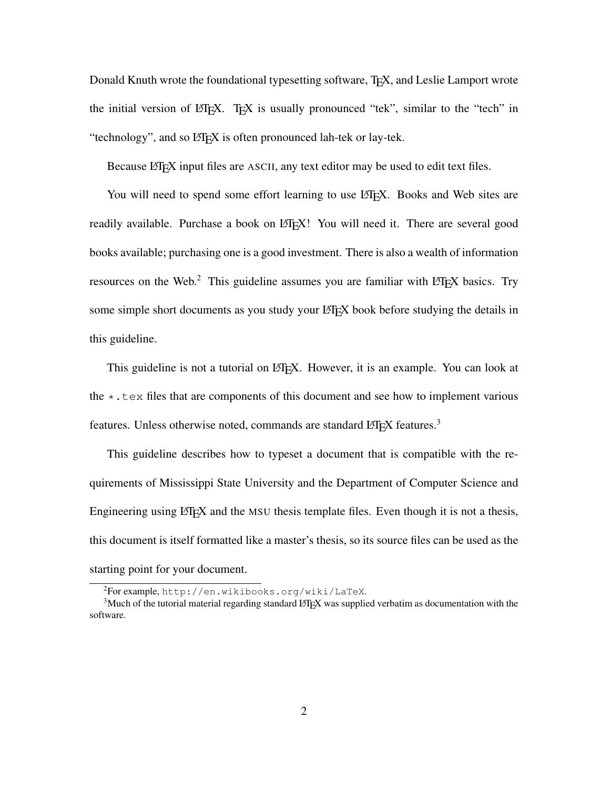Donald Knuth wrote the foundational typesetting software, T<sub>E</sub>X, and Leslie Lamport wrote the initial version of LATEX. TEX is usually pronounced "tek", similar to the "tech" in "technology", and so LAT<sub>EX</sub> is often pronounced lah-tek or lay-tek.

Because LATEX input files are ASCII, any text editor may be used to edit text files.

You will need to spend some effort learning to use LATEX. Books and Web sites are readily available. Purchase a book on LATEX! You will need it. There are several good books available; purchasing one is a good investment. There is also a wealth of information resources on the Web.<sup>2</sup> This guideline assumes you are familiar with LAT<sub>EX</sub> basics. Try some simple short documents as you study your LATEX book before studying the details in this guideline.

This guideline is not a tutorial on LATEX. However, it is an example. You can look at the  $\star$ . tex files that are components of this document and see how to implement various features. Unless otherwise noted, commands are standard  $E_{\text{F}}X$  features.<sup>3</sup>

This guideline describes how to typeset a document that is compatible with the requirements of Mississippi State University and the Department of Computer Science and Engineering using L<sup>AT</sup>EX and the MSU thesis template files. Even though it is not a thesis, this document is itself formatted like a master's thesis, so its source files can be used as the starting point for your document.

<sup>2</sup>For example, http://en.wikibooks.org/wiki/LaTeX.

<sup>&</sup>lt;sup>3</sup>Much of the tutorial material regarding standard LATEX was supplied verbatim as documentation with the software.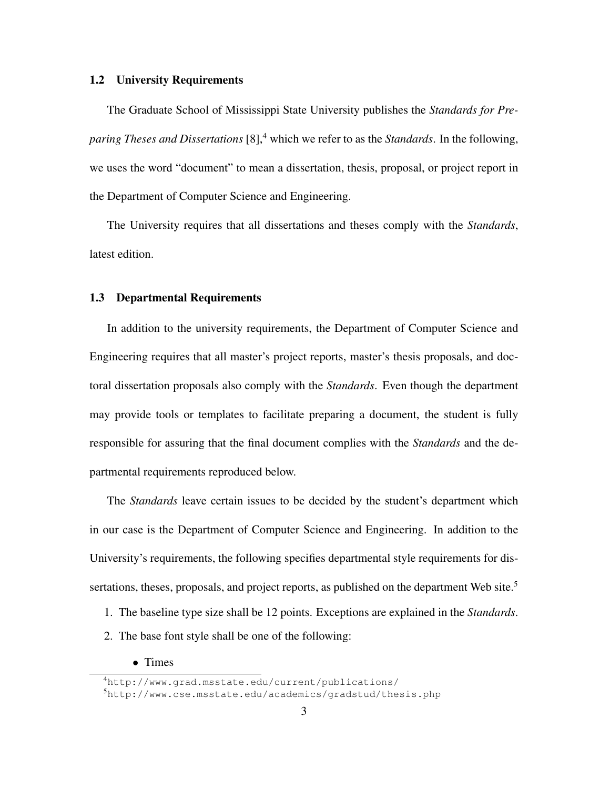#### 1.2 University Requirements

The Graduate School of Mississippi State University publishes the *Standards for Preparing Theses and Dissertations* [8],<sup>4</sup> which we refer to as the *Standards*. In the following, we uses the word "document" to mean a dissertation, thesis, proposal, or project report in the Department of Computer Science and Engineering.

The University requires that all dissertations and theses comply with the *Standards*, latest edition.

#### 1.3 Departmental Requirements

In addition to the university requirements, the Department of Computer Science and Engineering requires that all master's project reports, master's thesis proposals, and doctoral dissertation proposals also comply with the *Standards*. Even though the department may provide tools or templates to facilitate preparing a document, the student is fully responsible for assuring that the final document complies with the *Standards* and the departmental requirements reproduced below.

The *Standards* leave certain issues to be decided by the student's department which in our case is the Department of Computer Science and Engineering. In addition to the University's requirements, the following specifies departmental style requirements for dissertations, theses, proposals, and project reports, as published on the department Web site.<sup>5</sup>

- 1. The baseline type size shall be 12 points. Exceptions are explained in the *Standards*.
- 2. The base font style shall be one of the following:
	- Times

<sup>4</sup>http://www.grad.msstate.edu/current/publications/

<sup>5</sup>http://www.cse.msstate.edu/academics/gradstud/thesis.php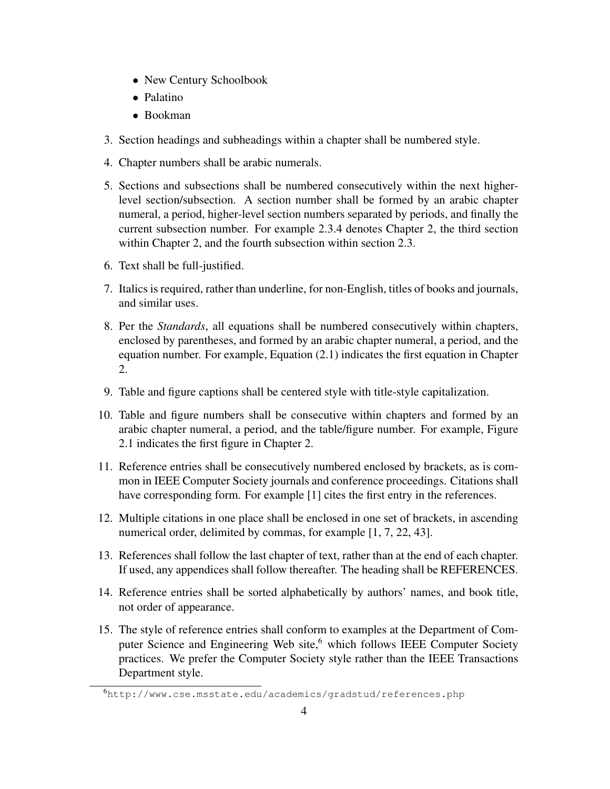- New Century Schoolbook
- Palatino
- Bookman
- 3. Section headings and subheadings within a chapter shall be numbered style.
- 4. Chapter numbers shall be arabic numerals.
- 5. Sections and subsections shall be numbered consecutively within the next higherlevel section/subsection. A section number shall be formed by an arabic chapter numeral, a period, higher-level section numbers separated by periods, and finally the current subsection number. For example 2.3.4 denotes Chapter 2, the third section within Chapter 2, and the fourth subsection within section 2.3.
- 6. Text shall be full-justified.
- 7. Italics is required, rather than underline, for non-English, titles of books and journals, and similar uses.
- 8. Per the *Standards*, all equations shall be numbered consecutively within chapters, enclosed by parentheses, and formed by an arabic chapter numeral, a period, and the equation number. For example, Equation (2.1) indicates the first equation in Chapter 2.
- 9. Table and figure captions shall be centered style with title-style capitalization.
- 10. Table and figure numbers shall be consecutive within chapters and formed by an arabic chapter numeral, a period, and the table/figure number. For example, Figure 2.1 indicates the first figure in Chapter 2.
- 11. Reference entries shall be consecutively numbered enclosed by brackets, as is common in IEEE Computer Society journals and conference proceedings. Citations shall have corresponding form. For example [1] cites the first entry in the references.
- 12. Multiple citations in one place shall be enclosed in one set of brackets, in ascending numerical order, delimited by commas, for example [1, 7, 22, 43].
- 13. References shall follow the last chapter of text, rather than at the end of each chapter. If used, any appendices shall follow thereafter. The heading shall be REFERENCES.
- 14. Reference entries shall be sorted alphabetically by authors' names, and book title, not order of appearance.
- 15. The style of reference entries shall conform to examples at the Department of Computer Science and Engineering Web site,<sup>6</sup> which follows IEEE Computer Society practices. We prefer the Computer Society style rather than the IEEE Transactions Department style.

<sup>6</sup>http://www.cse.msstate.edu/academics/gradstud/references.php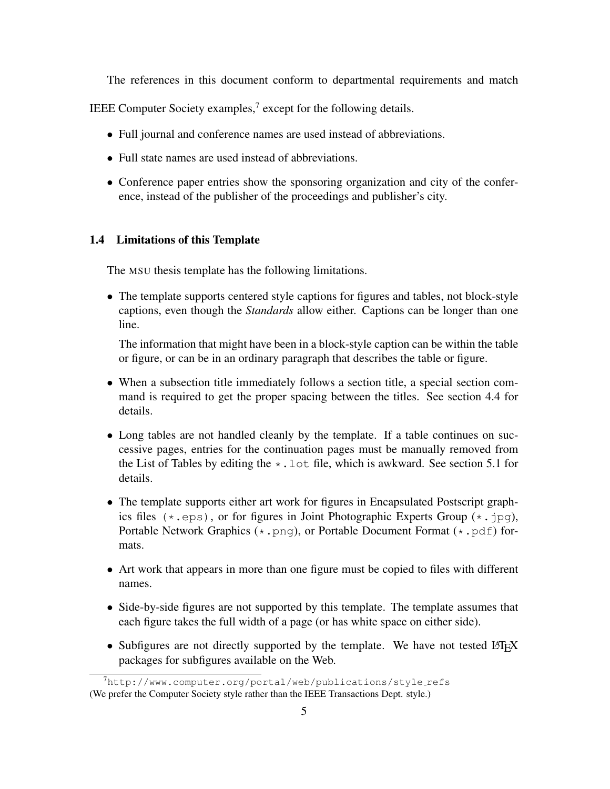The references in this document conform to departmental requirements and match

IEEE Computer Society examples, $7$  except for the following details.

- Full journal and conference names are used instead of abbreviations.
- Full state names are used instead of abbreviations.
- Conference paper entries show the sponsoring organization and city of the conference, instead of the publisher of the proceedings and publisher's city.

#### 1.4 Limitations of this Template

The MSU thesis template has the following limitations.

• The template supports centered style captions for figures and tables, not block-style captions, even though the *Standards* allow either. Captions can be longer than one line.

The information that might have been in a block-style caption can be within the table or figure, or can be in an ordinary paragraph that describes the table or figure.

- When a subsection title immediately follows a section title, a special section command is required to get the proper spacing between the titles. See section 4.4 for details.
- Long tables are not handled cleanly by the template. If a table continues on successive pages, entries for the continuation pages must be manually removed from the List of Tables by editing the  $\star$ . Lot file, which is awkward. See section 5.1 for details.
- The template supports either art work for figures in Encapsulated Postscript graphics files  $(*.eps)$ , or for figures in Joint Photographic Experts Group  $(*.ipq)$ , Portable Network Graphics  $(* .png)$ , or Portable Document Format  $(* .pdf)$  formats.
- Art work that appears in more than one figure must be copied to files with different names.
- Side-by-side figures are not supported by this template. The template assumes that each figure takes the full width of a page (or has white space on either side).
- Subfigures are not directly supported by the template. We have not tested LATEX packages for subfigures available on the Web.

 $7$ http://www.computer.org/portal/web/publications/style\_refs (We prefer the Computer Society style rather than the IEEE Transactions Dept. style.)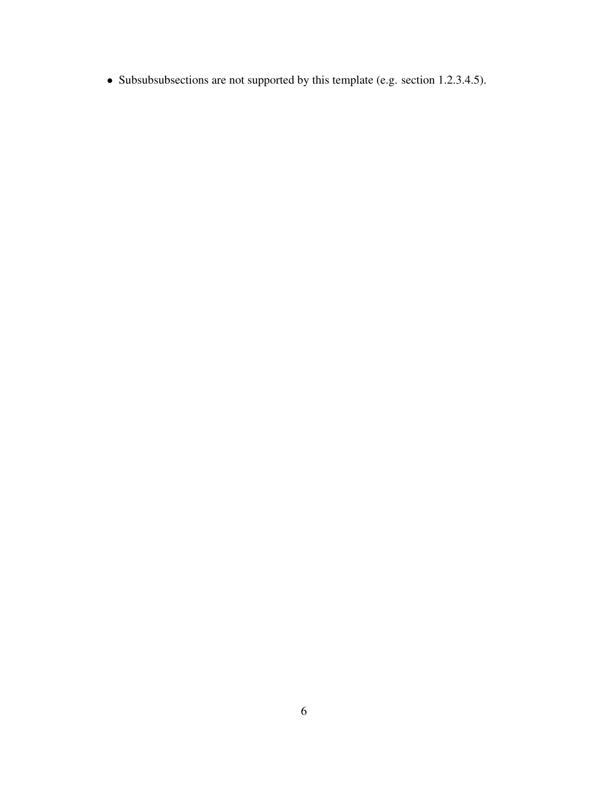• Subsubsubsections are not supported by this template (e.g. section 1.2.3.4.5).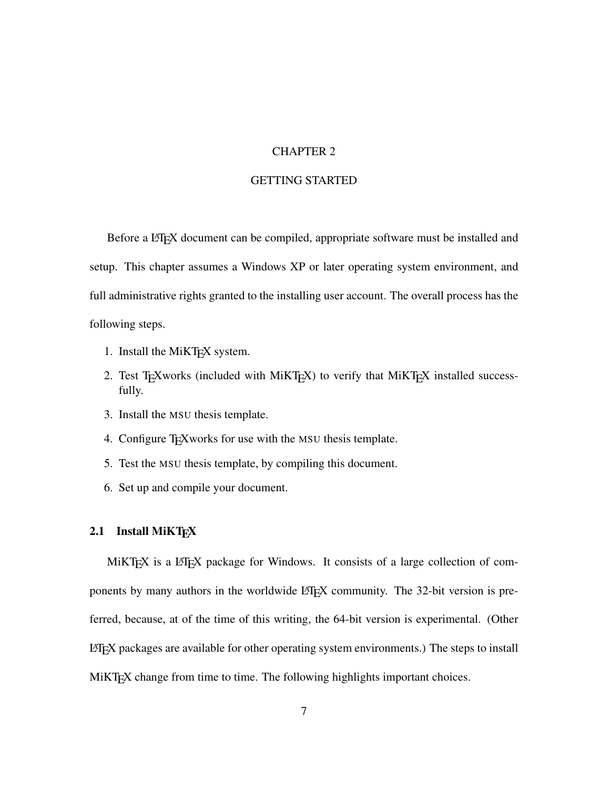## CHAPTER 2

# GETTING STARTED

Before a LATEX document can be compiled, appropriate software must be installed and setup. This chapter assumes a Windows XP or later operating system environment, and full administrative rights granted to the installing user account. The overall process has the following steps.

- 1. Install the MiKT<sub>E</sub>X system.
- 2. Test TEXworks (included with MiKTEX) to verify that MiKTEX installed successfully.
- 3. Install the MSU thesis template.
- 4. Configure TEXworks for use with the MSU thesis template.
- 5. Test the MSU thesis template, by compiling this document.
- 6. Set up and compile your document.

# 2.1 Install MiKTFX

MiKT<sub>E</sub>X is a L<sup>AT</sup>E<sub>X</sub> package for Windows. It consists of a large collection of components by many authors in the worldwide LAT<sub>EX</sub> community. The 32-bit version is preferred, because, at of the time of this writing, the 64-bit version is experimental. (Other  $L^2$ FEX packages are available for other operating system environments.) The steps to install MiKT<sub>E</sub>X change from time to time. The following highlights important choices.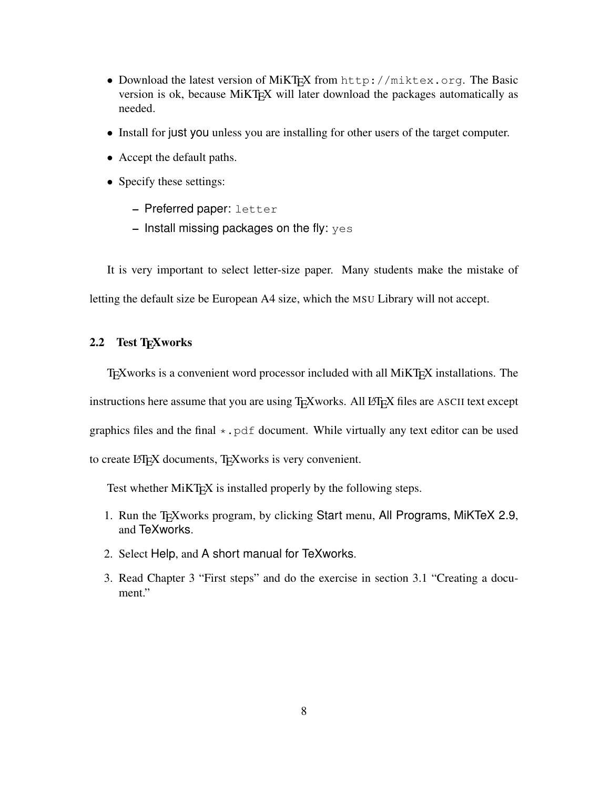- Download the latest version of MiKTEX from http://miktex.org. The Basic version is ok, because MiKT<sub>E</sub>X will later download the packages automatically as needed.
- Install for just you unless you are installing for other users of the target computer.
- Accept the default paths.
- Specify these settings:
	- Preferred paper: letter
	- $-$  Install missing packages on the fly:  $yes$

It is very important to select letter-size paper. Many students make the mistake of letting the default size be European A4 size, which the MSU Library will not accept.

# 2.2 Test T<sub>E</sub>Xworks

T<sub>E</sub>Xworks is a convenient word processor included with all MiKT<sub>E</sub>X installations. The instructions here assume that you are using  $T_{F}X$  works. All  $E_{F}X$  files are ASCII text except graphics files and the final  $\star$ . pdf document. While virtually any text editor can be used to create LATEX documents, TEXworks is very convenient.

Test whether MiKT<sub>E</sub>X is installed properly by the following steps.

- 1. Run the T<sub>E</sub>Xworks program, by clicking Start menu, All Programs, MiKTeX 2.9, and TeXworks.
- 2. Select Help, and A short manual for TeXworks.
- 3. Read Chapter 3 "First steps" and do the exercise in section 3.1 "Creating a document."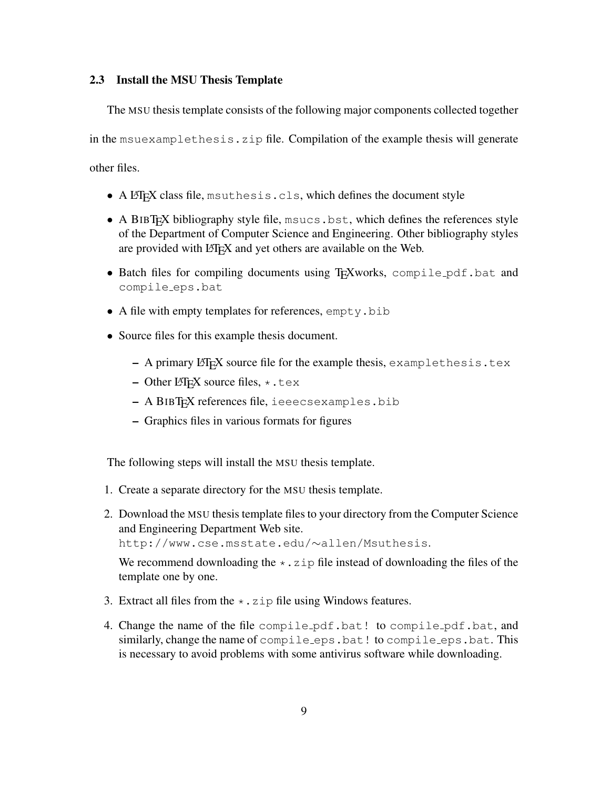#### 2.3 Install the MSU Thesis Template

The MSU thesis template consists of the following major components collected together in the msuexamplethesis.zip file. Compilation of the example thesis will generate other files.

- $\bullet$  A LAT<sub>E</sub>X class file, msuthesis.cls, which defines the document style
- A BIBT<sub>EX</sub> bibliography style file, msucs.bst, which defines the references style of the Department of Computer Science and Engineering. Other bibliography styles are provided with LATEX and yet others are available on the Web.
- Batch files for compiling documents using T<sub>E</sub>Xworks, compile pdf.bat and compile eps.bat
- A file with empty templates for references, empty.bib
- Source files for this example thesis document.
	- $-$  A primary LAT<sub>E</sub>X source file for the example thesis, example thesis.tex
	- Other LATEX source files,  $\star$ .tex
	- A BIBTEX references file, ieeecsexamples.bib
	- Graphics files in various formats for figures

The following steps will install the MSU thesis template.

- 1. Create a separate directory for the MSU thesis template.
- 2. Download the MSU thesis template files to your directory from the Computer Science and Engineering Department Web site. http://www.cse.msstate.edu/∼allen/Msuthesis.

We recommend downloading the  $\star$ . zip file instead of downloading the files of the template one by one.

- 3. Extract all files from the  $\star$ . zip file using Windows features.
- 4. Change the name of the file compile pdf.bat! to compile pdf.bat, and similarly, change the name of compile eps.bat! to compile eps.bat. This is necessary to avoid problems with some antivirus software while downloading.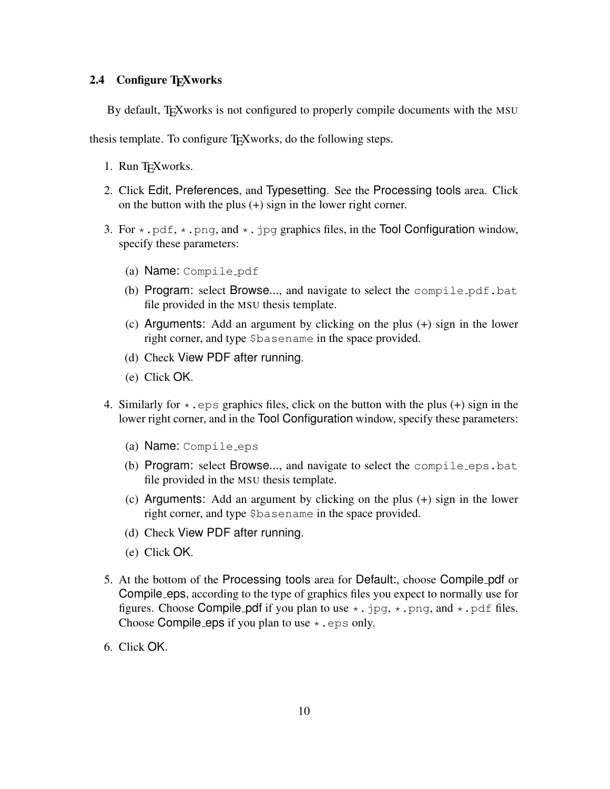## 2.4 Configure T<sub>E</sub>Xworks

By default, TEX works is not configured to properly compile documents with the MSU

thesis template. To configure T<sub>EX</sub> works, do the following steps.

- 1. Run T<sub>E</sub>Xworks.
- 2. Click Edit, Preferences, and Typesetting. See the Processing tools area. Click on the button with the plus (+) sign in the lower right corner.
- 3. For  $\star$ , pdf,  $\star$ , png, and  $\star$ , jpg graphics files, in the Tool Configuration window, specify these parameters:
	- (a) Name: Compile pdf
	- (b) Program: select Browse..., and navigate to select the compile\_pdf.bat file provided in the MSU thesis template.
	- (c) Arguments: Add an argument by clicking on the plus (+) sign in the lower right corner, and type \$basename in the space provided.
	- (d) Check View PDF after running.
	- (e) Click OK.
- 4. Similarly for  $\star$ , eps graphics files, click on the button with the plus (+) sign in the lower right corner, and in the Tool Configuration window, specify these parameters:
	- (a) Name: Compile eps
	- (b) Program: select Browse..., and navigate to select the compile eps.bat file provided in the MSU thesis template.
	- (c) Arguments: Add an argument by clicking on the plus (+) sign in the lower right corner, and type \$basename in the space provided.
	- (d) Check View PDF after running.
	- (e) Click OK.
- 5. At the bottom of the Processing tools area for Default:, choose Compile pdf or Compile eps, according to the type of graphics files you expect to normally use for figures. Choose Compile pdf if you plan to use  $\star$ . jpg,  $\star$ . png, and  $\star$ . pdf files. Choose Compile eps if you plan to use  $\star$ . eps only.
- 6. Click OK.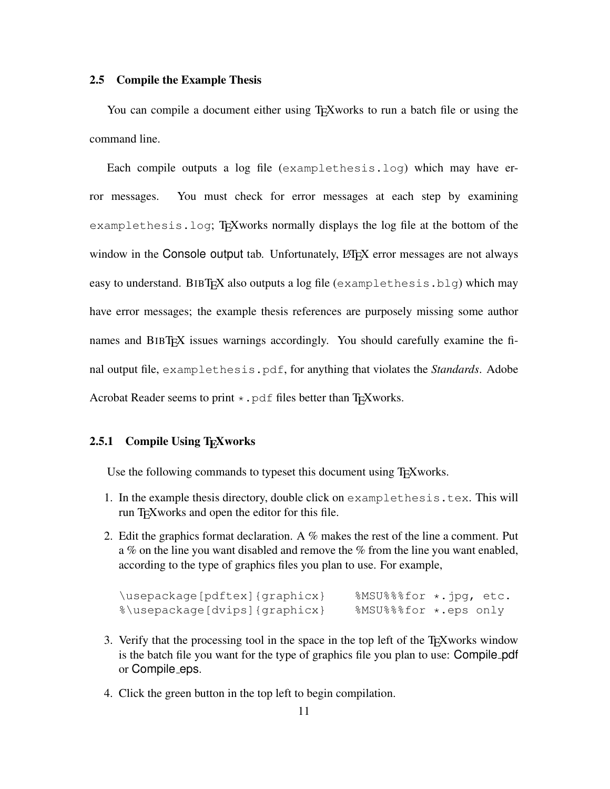#### 2.5 Compile the Example Thesis

You can compile a document either using T<sub>E</sub>Xworks to run a batch file or using the command line.

Each compile outputs a log file (examplethesis.log) which may have error messages. You must check for error messages at each step by examining examplethesis.log; T<sub>E</sub>Xworks normally displays the log file at the bottom of the window in the Console output tab. Unfortunately, LAT<sub>EX</sub> error messages are not always easy to understand. BIBT<sub>F</sub>X also outputs a log file (examplethesis.blg) which may have error messages; the example thesis references are purposely missing some author names and BIBT<sub>E</sub>X issues warnings accordingly. You should carefully examine the final output file, examplethesis.pdf, for anything that violates the *Standards*. Adobe Acrobat Reader seems to print  $\star$ . pdf files better than T<sub>F</sub>Xworks.

#### 2.5.1 Compile Using T<sub>E</sub>Xworks

Use the following commands to typeset this document using T<sub>E</sub>Xworks.

- 1. In the example thesis directory, double click on examplethesis.tex. This will run T<sub>E</sub>Xworks and open the editor for this file.
- 2. Edit the graphics format declaration. A  $%$  makes the rest of the line a comment. Put a % on the line you want disabled and remove the % from the line you want enabled, according to the type of graphics files you plan to use. For example,

| \usepackage[pdftex]{graphicx} | $8MSU$ $88$ $6r$ $*$ . $pq$ , etc. |  |
|-------------------------------|------------------------------------|--|
| %\usepackage[dvips]{graphicx} | %MSU%%%for *.eps only              |  |

- 3. Verify that the processing tool in the space in the top left of the T<sub>E</sub>Xworks window is the batch file you want for the type of graphics file you plan to use: Compile pdf or Compile eps.
- 4. Click the green button in the top left to begin compilation.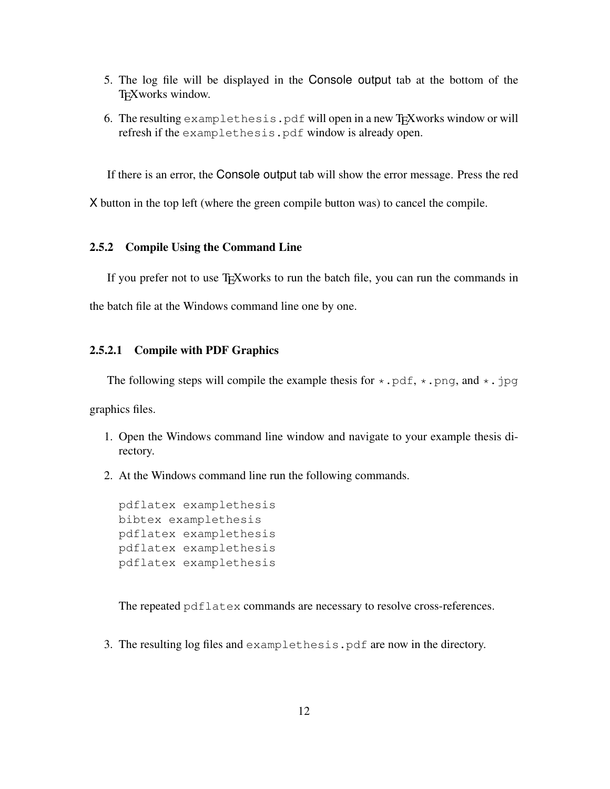- 5. The log file will be displayed in the Console output tab at the bottom of the TEXworks window.
- 6. The resulting examplethesis.pdf will open in a new T<sub>E</sub>Xworks window or will refresh if the examplethesis.pdf window is already open.

If there is an error, the Console output tab will show the error message. Press the red

X button in the top left (where the green compile button was) to cancel the compile.

#### 2.5.2 Compile Using the Command Line

If you prefer not to use TEXworks to run the batch file, you can run the commands in the batch file at the Windows command line one by one.

#### 2.5.2.1 Compile with PDF Graphics

The following steps will compile the example thesis for  $\star$ . pdf,  $\star$ . png, and  $\star$ . jpg

graphics files.

- 1. Open the Windows command line window and navigate to your example thesis directory.
- 2. At the Windows command line run the following commands.

```
pdflatex examplethesis
bibtex examplethesis
pdflatex examplethesis
pdflatex examplethesis
pdflatex examplethesis
```
The repeated pdflatex commands are necessary to resolve cross-references.

3. The resulting log files and examplethesis.pdf are now in the directory.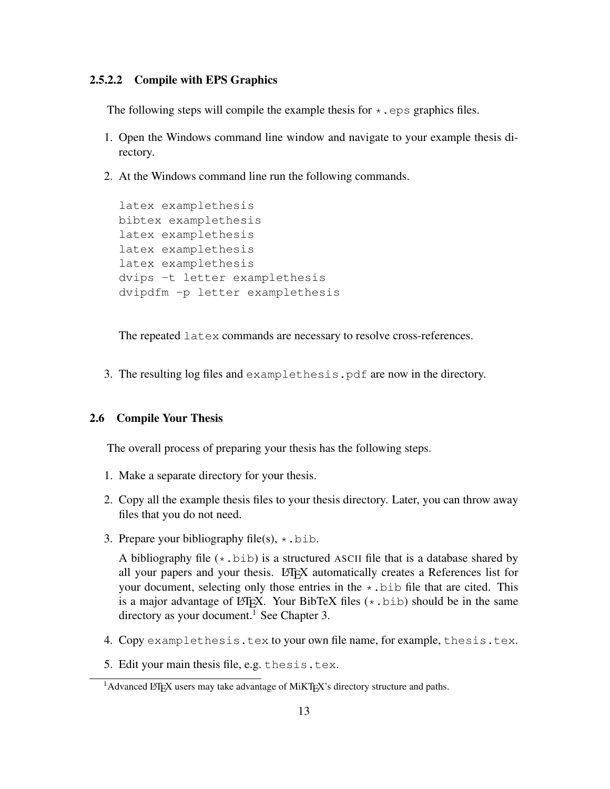#### 2.5.2.2 Compile with EPS Graphics

The following steps will compile the example thesis for  $\star$ . eps graphics files.

- 1. Open the Windows command line window and navigate to your example thesis directory.
- 2. At the Windows command line run the following commands.

```
latex examplethesis
bibtex examplethesis
latex examplethesis
latex examplethesis
latex examplethesis
dvips -t letter examplethesis
dvipdfm -p letter examplethesis
```
The repeated latex commands are necessary to resolve cross-references.

3. The resulting log files and examplethesis.pdf are now in the directory.

#### 2.6 Compile Your Thesis

The overall process of preparing your thesis has the following steps.

- 1. Make a separate directory for your thesis.
- 2. Copy all the example thesis files to your thesis directory. Later, you can throw away files that you do not need.
- 3. Prepare your bibliography file(s),  $\star$ .bib.

A bibliography file  $(*.$  bib) is a structured ASCII file that is a database shared by all your papers and your thesis. LATEX automatically creates a References list for your document, selecting only those entries in the  $\star$ . bib file that are cited. This is a major advantage of LATEX. Your BibTeX files  $(*.bib)$  should be in the same directory as your document.<sup>1</sup> See Chapter 3.

- 4. Copy examplethesis.tex to your own file name, for example, thesis.tex.
- 5. Edit your main thesis file, e.g. thesis.tex.

<sup>&</sup>lt;sup>1</sup>Advanced LAT<sub>E</sub>X users may take advantage of MiKT<sub>E</sub>X's directory structure and paths.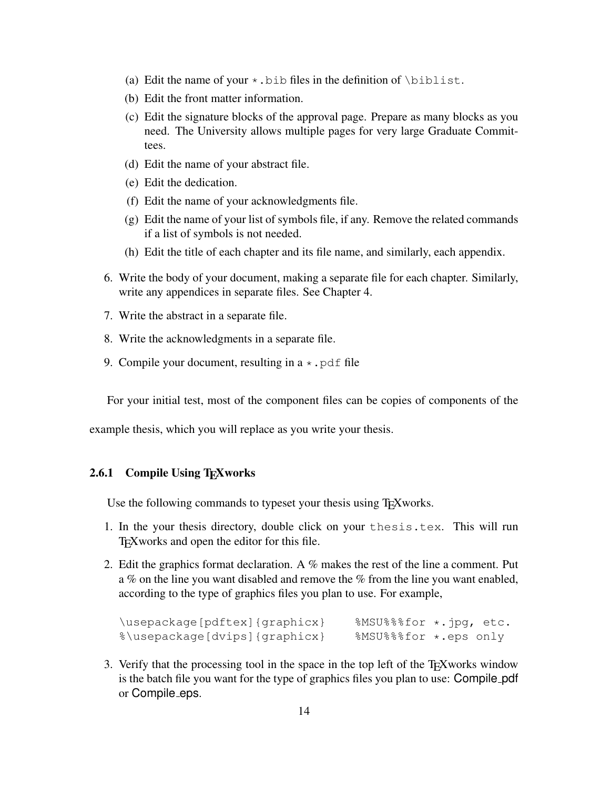- (a) Edit the name of your  $\star$ . bib files in the definition of  $\b{biblist}$ .
- (b) Edit the front matter information.
- (c) Edit the signature blocks of the approval page. Prepare as many blocks as you need. The University allows multiple pages for very large Graduate Committees.
- (d) Edit the name of your abstract file.
- (e) Edit the dedication.
- (f) Edit the name of your acknowledgments file.
- (g) Edit the name of your list of symbols file, if any. Remove the related commands if a list of symbols is not needed.
- (h) Edit the title of each chapter and its file name, and similarly, each appendix.
- 6. Write the body of your document, making a separate file for each chapter. Similarly, write any appendices in separate files. See Chapter 4.
- 7. Write the abstract in a separate file.
- 8. Write the acknowledgments in a separate file.
- 9. Compile your document, resulting in a  $\star$ , pdf file

For your initial test, most of the component files can be copies of components of the

example thesis, which you will replace as you write your thesis.

# 2.6.1 Compile Using T<sub>E</sub>Xworks

Use the following commands to typeset your thesis using T<sub>E</sub>Xworks.

- 1. In the your thesis directory, double click on your thesis.tex. This will run TEXworks and open the editor for this file.
- 2. Edit the graphics format declaration. A  $\%$  makes the rest of the line a comment. Put a % on the line you want disabled and remove the % from the line you want enabled, according to the type of graphics files you plan to use. For example,

```
\usepackage[pdftex]{graphicx} %MSU%%%for *.jpg, etc.<br>%\usepackage[dvips]{graphicx} %MSU%%%for *.eps only
%\usepackage[dvips]{graphicx}
```
3. Verify that the processing tool in the space in the top left of the T<sub>E</sub>Xworks window is the batch file you want for the type of graphics files you plan to use: Compile pdf or Compile eps.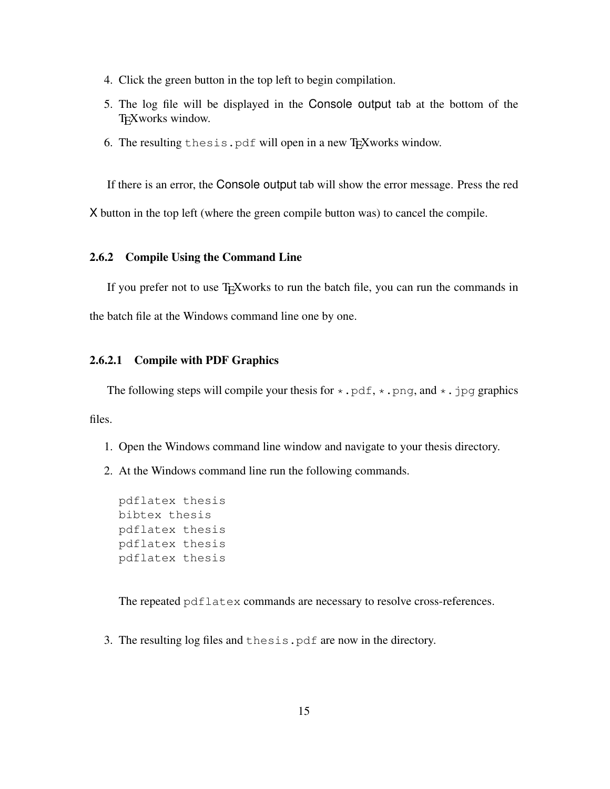- 4. Click the green button in the top left to begin compilation.
- 5. The log file will be displayed in the Console output tab at the bottom of the T<sub>E</sub>Xworks window.
- 6. The resulting thesis.pdf will open in a new T<sub>E</sub>Xworks window.

If there is an error, the Console output tab will show the error message. Press the red

X button in the top left (where the green compile button was) to cancel the compile.

### 2.6.2 Compile Using the Command Line

If you prefer not to use T<sub>E</sub>Xworks to run the batch file, you can run the commands in the batch file at the Windows command line one by one.

#### 2.6.2.1 Compile with PDF Graphics

The following steps will compile your thesis for  $\star$  . pdf,  $\star$  . png, and  $\star$  . jpg graphics files.

- 1. Open the Windows command line window and navigate to your thesis directory.
- 2. At the Windows command line run the following commands.

```
pdflatex thesis
bibtex thesis
pdflatex thesis
pdflatex thesis
pdflatex thesis
```
The repeated pdflatex commands are necessary to resolve cross-references.

3. The resulting log files and thesis.pdf are now in the directory.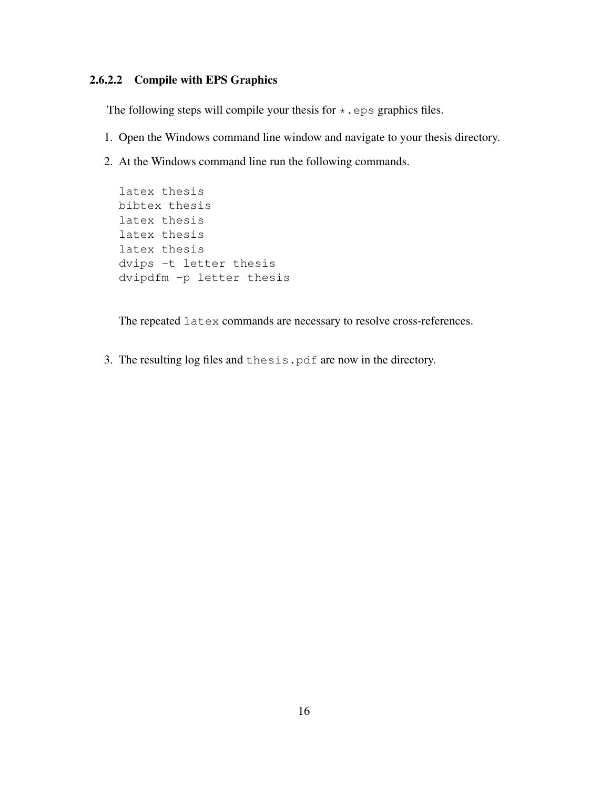# 2.6.2.2 Compile with EPS Graphics

The following steps will compile your thesis for  $\star$ . eps graphics files.

- 1. Open the Windows command line window and navigate to your thesis directory.
- 2. At the Windows command line run the following commands.

```
latex thesis
bibtex thesis
latex thesis
latex thesis
latex thesis
dvips -t letter thesis
dvipdfm -p letter thesis
```
The repeated latex commands are necessary to resolve cross-references.

3. The resulting log files and thesis.pdf are now in the directory.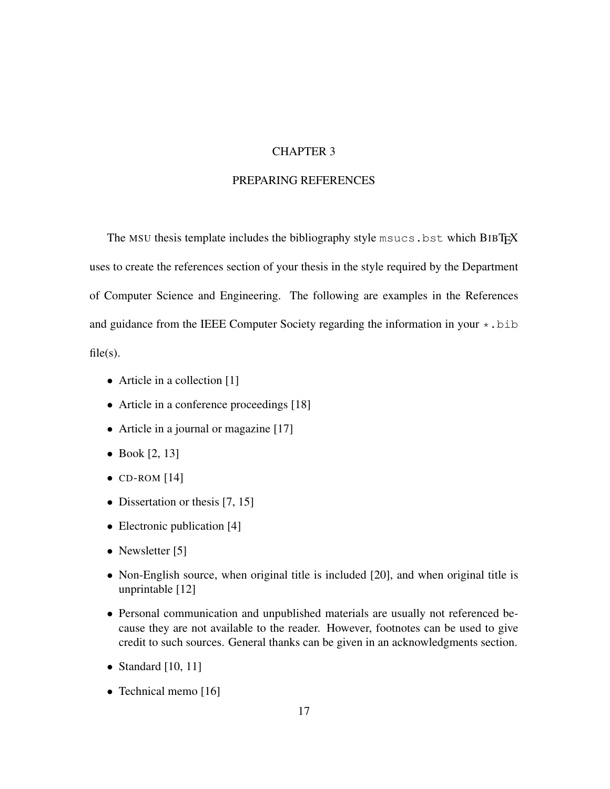## CHAPTER 3

# PREPARING REFERENCES

The MSU thesis template includes the bibliography style msucs.bst which BIBTEX uses to create the references section of your thesis in the style required by the Department of Computer Science and Engineering. The following are examples in the References and guidance from the IEEE Computer Society regarding the information in your  $\star$ . bib  $file(s)$ .

• Article in a collection [1]

- Article in a conference proceedings [18]
- Article in a journal or magazine [17]
- Book  $[2, 13]$
- $\bullet$  CD-ROM [14]
- Dissertation or thesis [7, 15]
- Electronic publication [4]
- Newsletter [5]
- Non-English source, when original title is included [20], and when original title is unprintable [12]
- Personal communication and unpublished materials are usually not referenced because they are not available to the reader. However, footnotes can be used to give credit to such sources. General thanks can be given in an acknowledgments section.
- Standard  $[10, 11]$
- Technical memo [16]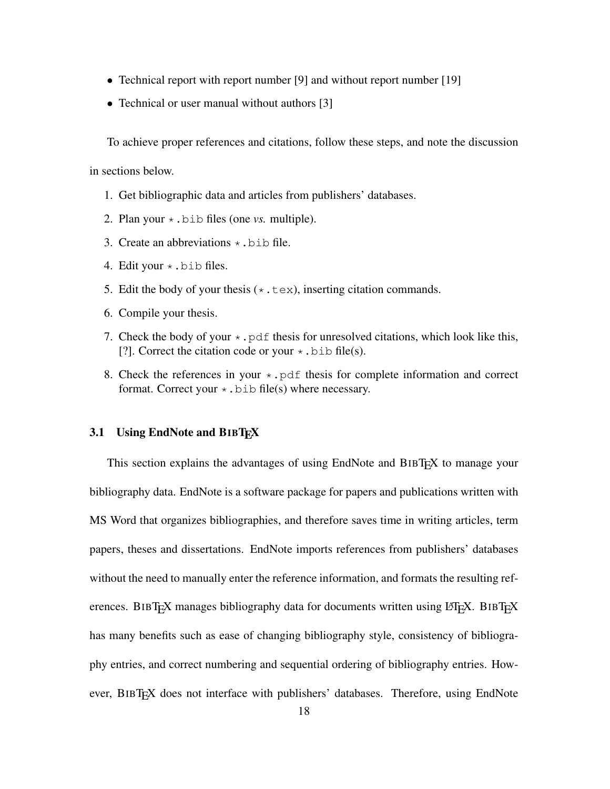- Technical report with report number [9] and without report number [19]
- Technical or user manual without authors [3]

To achieve proper references and citations, follow these steps, and note the discussion

in sections below.

- 1. Get bibliographic data and articles from publishers' databases.
- 2. Plan your \*.bib files (one *vs.* multiple).
- 3. Create an abbreviations  $\star$ . bib file.
- 4. Edit your  $\star$ . bib files.
- 5. Edit the body of your thesis  $(*.texte x)$ , inserting citation commands.
- 6. Compile your thesis.
- 7. Check the body of your  $\star$ . pdf thesis for unresolved citations, which look like this, [?]. Correct the citation code or your  $\star$ .bib file(s).
- 8. Check the references in your  $\star$ . pdf thesis for complete information and correct format. Correct your  $\star$ . bib file(s) where necessary.

### 3.1 Using EndNote and BIBTFX

This section explains the advantages of using EndNote and BIBT<sub>E</sub>X to manage your bibliography data. EndNote is a software package for papers and publications written with MS Word that organizes bibliographies, and therefore saves time in writing articles, term papers, theses and dissertations. EndNote imports references from publishers' databases without the need to manually enter the reference information, and formats the resulting references. BIBTEX manages bibliography data for documents written using LATEX. BIBTEX has many benefits such as ease of changing bibliography style, consistency of bibliography entries, and correct numbering and sequential ordering of bibliography entries. However, BIBT<sub>E</sub>X does not interface with publishers' databases. Therefore, using EndNote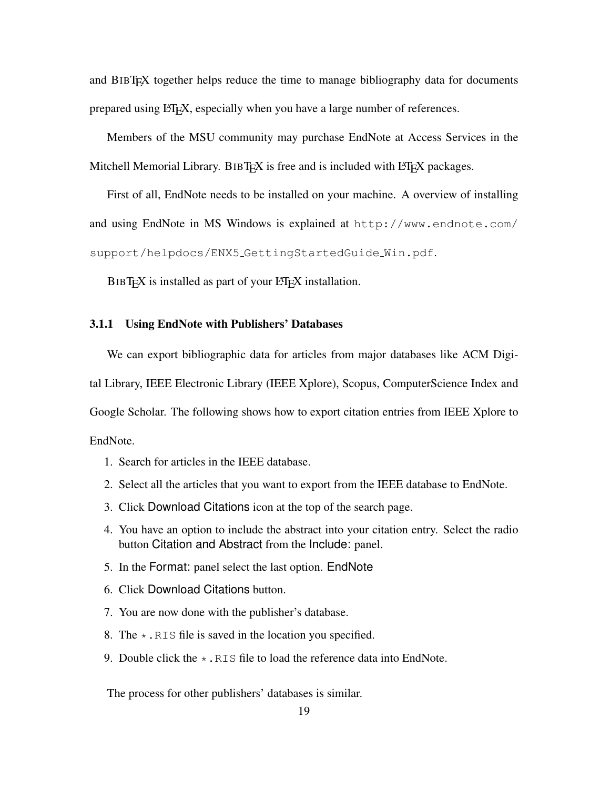and BIBTEX together helps reduce the time to manage bibliography data for documents prepared using LAT<sub>EX</sub>, especially when you have a large number of references.

Members of the MSU community may purchase EndNote at Access Services in the Mitchell Memorial Library. BIBT $EX$  is free and is included with LATEX packages.

First of all, EndNote needs to be installed on your machine. A overview of installing and using EndNote in MS Windows is explained at http://www.endnote.com/ support/helpdocs/ENX5 GettingStartedGuide Win.pdf.

BIBT<sub>EX</sub> is installed as part of your LATEX installation.

## 3.1.1 Using EndNote with Publishers' Databases

We can export bibliographic data for articles from major databases like ACM Digital Library, IEEE Electronic Library (IEEE Xplore), Scopus, ComputerScience Index and Google Scholar. The following shows how to export citation entries from IEEE Xplore to EndNote.

- 1. Search for articles in the IEEE database.
- 2. Select all the articles that you want to export from the IEEE database to EndNote.
- 3. Click Download Citations icon at the top of the search page.
- 4. You have an option to include the abstract into your citation entry. Select the radio button Citation and Abstract from the Include: panel.
- 5. In the Format: panel select the last option. EndNote
- 6. Click Download Citations button.
- 7. You are now done with the publisher's database.
- 8. The  $\star$ . RIS file is saved in the location you specified.
- 9. Double click the  $\star$ . RIS file to load the reference data into EndNote.

The process for other publishers' databases is similar.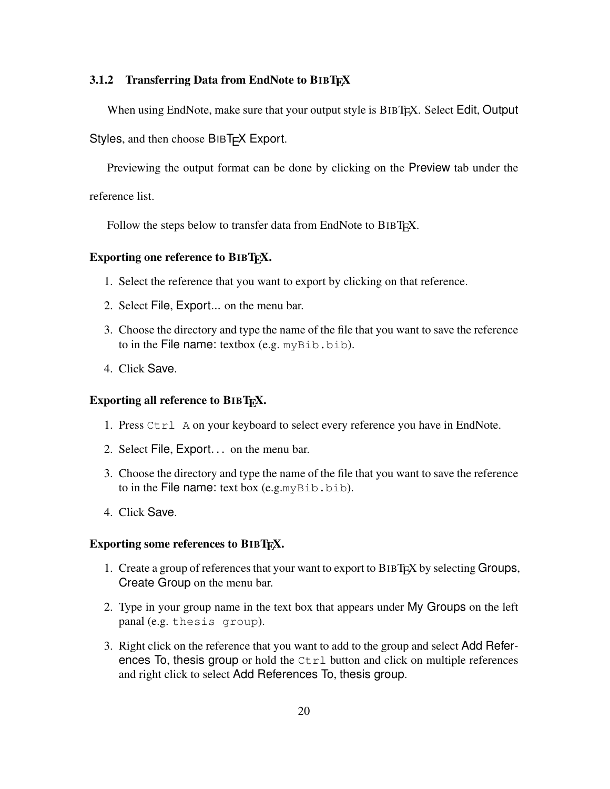### 3.1.2 Transferring Data from EndNote to BIBT $\overline{F}X$

When using EndNote, make sure that your output style is BIBT<sub>E</sub>X. Select Edit, Output

Styles, and then choose BIBT<sub>F</sub>X Export.

Previewing the output format can be done by clicking on the Preview tab under the

reference list.

Follow the steps below to transfer data from EndNote to BIBT<sub>E</sub>X.

## Exporting one reference to BIBT<sub>E</sub>X.

- 1. Select the reference that you want to export by clicking on that reference.
- 2. Select File, Export... on the menu bar.
- 3. Choose the directory and type the name of the file that you want to save the reference to in the File name: textbox (e.g.  $myBib.bib$ ).
- 4. Click Save.

## Exporting all reference to BIBT<sub>E</sub>X.

- 1. Press Ctrl A on your keyboard to select every reference you have in EndNote.
- 2. Select File, Export... on the menu bar.
- 3. Choose the directory and type the name of the file that you want to save the reference to in the File name: text box  $(e.g.myBib.bib)$ .
- 4. Click Save.

#### Exporting some references to BIBT<sub>EX</sub>.

- 1. Create a group of references that your want to export to BIBTEX by selecting Groups, Create Group on the menu bar.
- 2. Type in your group name in the text box that appears under My Groups on the left panal (e.g. thesis group).
- 3. Right click on the reference that you want to add to the group and select Add References To, thesis group or hold the  $Ctrl$  button and click on multiple references and right click to select Add References To, thesis group.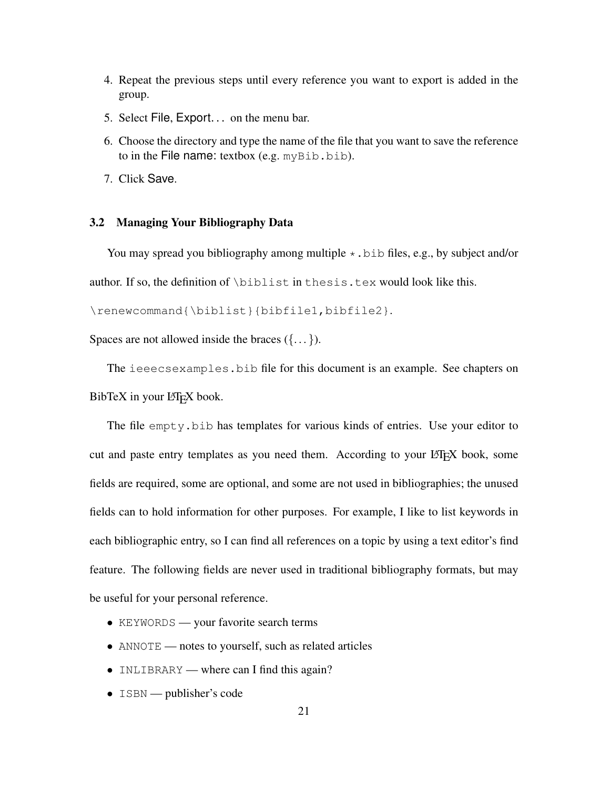- 4. Repeat the previous steps until every reference you want to export is added in the group.
- 5. Select File, Export. . . on the menu bar.
- 6. Choose the directory and type the name of the file that you want to save the reference to in the File name: textbox (e.g.  $myBib.bib$ ).
- 7. Click Save.

#### 3.2 Managing Your Bibliography Data

You may spread you bibliography among multiple  $\star$ . bib files, e.g., by subject and/or author. If so, the definition of \biblist in thesis.tex would look like this.

```
\renewcommand{\biblist}{bibfile1,bibfile2}.
```
Spaces are not allowed inside the braces  $({\ldots})$ .

The ieeecsexamples.bib file for this document is an example. See chapters on BibTeX in your LATEX book.

The file empty. bib has templates for various kinds of entries. Use your editor to cut and paste entry templates as you need them. According to your LATEX book, some fields are required, some are optional, and some are not used in bibliographies; the unused fields can to hold information for other purposes. For example, I like to list keywords in each bibliographic entry, so I can find all references on a topic by using a text editor's find feature. The following fields are never used in traditional bibliography formats, but may be useful for your personal reference.

- KEYWORDS your favorite search terms
- ANNOTE notes to yourself, such as related articles
- INLIBRARY where can I find this again?
- ISBN publisher's code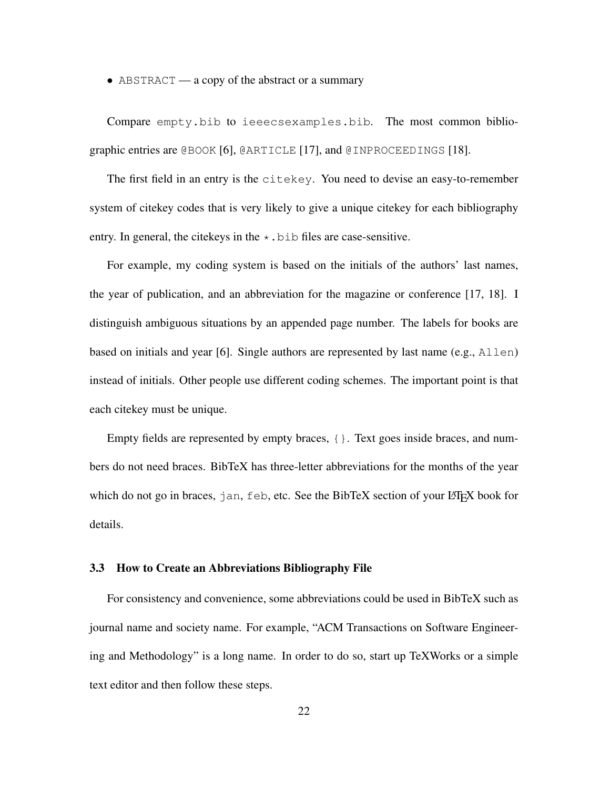• ABSTRACT — a copy of the abstract or a summary

Compare empty.bib to ieeecsexamples.bib. The most common bibliographic entries are @BOOK [6], @ARTICLE [17], and @INPROCEEDINGS [18].

The first field in an entry is the citekey. You need to devise an easy-to-remember system of citekey codes that is very likely to give a unique citekey for each bibliography entry. In general, the citekeys in the  $\star$ . bib files are case-sensitive.

For example, my coding system is based on the initials of the authors' last names, the year of publication, and an abbreviation for the magazine or conference [17, 18]. I distinguish ambiguous situations by an appended page number. The labels for books are based on initials and year [6]. Single authors are represented by last name (e.g.,  $\text{Allen}$ ) instead of initials. Other people use different coding schemes. The important point is that each citekey must be unique.

Empty fields are represented by empty braces, {}. Text goes inside braces, and numbers do not need braces. BibTeX has three-letter abbreviations for the months of the year which do not go in braces,  $\eta$  an,  $f \in \mathbb{R}$ , etc. See the BibTeX section of your LATEX book for details.

#### 3.3 How to Create an Abbreviations Bibliography File

For consistency and convenience, some abbreviations could be used in BibTeX such as journal name and society name. For example, "ACM Transactions on Software Engineering and Methodology" is a long name. In order to do so, start up TeXWorks or a simple text editor and then follow these steps.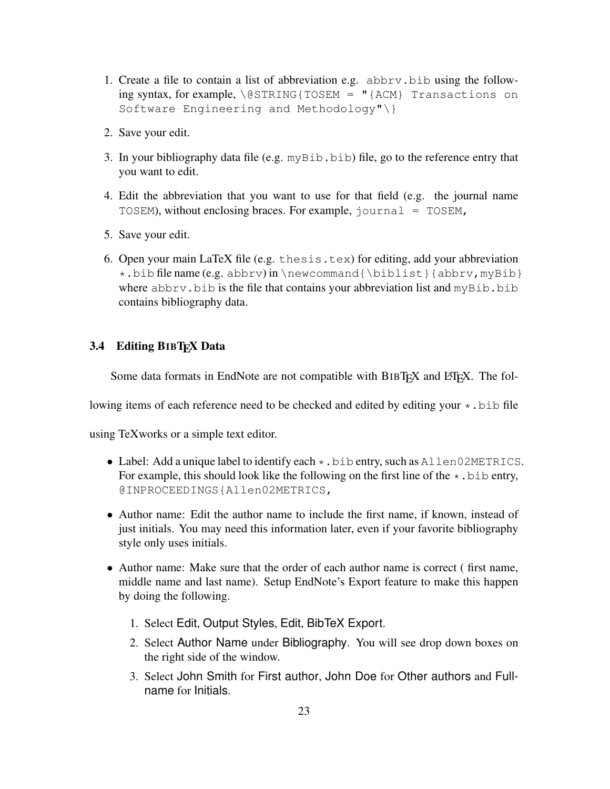- 1. Create a file to contain a list of abbreviation e.g. abbrv.bib using the following syntax, for example,  $\log$ STRING{TOSEM = "{ACM} Transactions on Software Engineering and Methodology"\}
- 2. Save your edit.
- 3. In your bibliography data file (e.g.  $myBib.bib)$  file, go to the reference entry that you want to edit.
- 4. Edit the abbreviation that you want to use for that field (e.g. the journal name TOSEM), without enclosing braces. For example, journal = TOSEM,
- 5. Save your edit.
- 6. Open your main LaTeX file (e.g. thesis.tex) for editing, add your abbreviation  $\star$ .bib file name (e.g. abbrv) in \newcommand{\biblist}{abbrv, myBib} where abbrv.bib is the file that contains your abbreviation list and myBib.bib contains bibliography data.

# 3.4 Editing BIBT<sub>E</sub>X Data

Some data formats in EndNote are not compatible with  $BIBT$ <sub>F</sub>X and  $BTRX$ . The fol-

lowing items of each reference need to be checked and edited by editing your  $\star$ . bib file

using TeXworks or a simple text editor.

- Label: Add a unique label to identify each  $\star$ . bib entry, such as Allen02METRICS. For example, this should look like the following on the first line of the  $\star$ . bib entry, @INPROCEEDINGS{Allen02METRICS,
- Author name: Edit the author name to include the first name, if known, instead of just initials. You may need this information later, even if your favorite bibliography style only uses initials.
- Author name: Make sure that the order of each author name is correct ( first name, middle name and last name). Setup EndNote's Export feature to make this happen by doing the following.
	- 1. Select Edit, Output Styles, Edit, BibTeX Export.
	- 2. Select Author Name under Bibliography. You will see drop down boxes on the right side of the window.
	- 3. Select John Smith for First author, John Doe for Other authors and Fullname for Initials.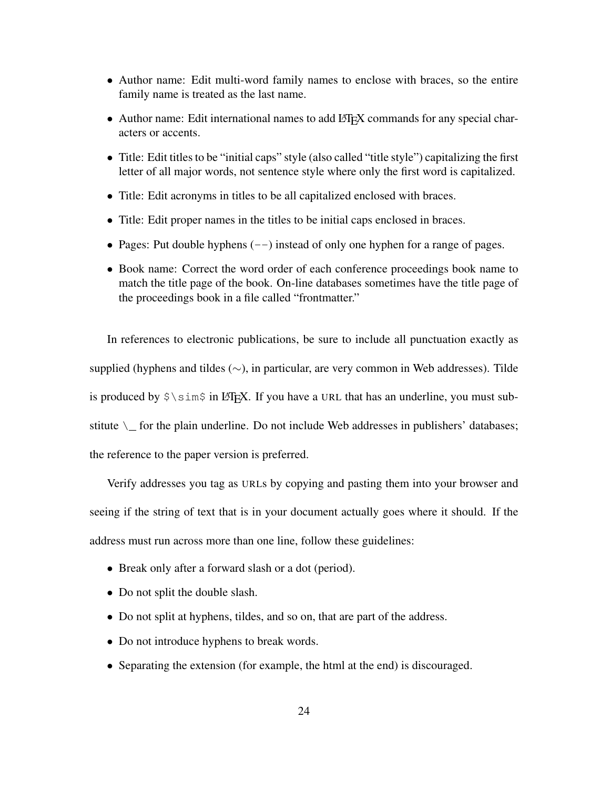- Author name: Edit multi-word family names to enclose with braces, so the entire family name is treated as the last name.
- Author name: Edit international names to add LAT<sub>EX</sub> commands for any special characters or accents.
- Title: Edit titles to be "initial caps" style (also called "title style") capitalizing the first letter of all major words, not sentence style where only the first word is capitalized.
- Title: Edit acronyms in titles to be all capitalized enclosed with braces.
- Title: Edit proper names in the titles to be initial caps enclosed in braces.
- Pages: Put double hyphens  $(-)$  instead of only one hyphen for a range of pages.
- Book name: Correct the word order of each conference proceedings book name to match the title page of the book. On-line databases sometimes have the title page of the proceedings book in a file called "frontmatter."

In references to electronic publications, be sure to include all punctuation exactly as supplied (hyphens and tildes (∼), in particular, are very common in Web addresses). Tilde is produced by  $\frac{1}{5}$  in LATEX. If you have a URL that has an underline, you must substitute  $\setminus$  for the plain underline. Do not include Web addresses in publishers' databases; the reference to the paper version is preferred.

Verify addresses you tag as URLs by copying and pasting them into your browser and seeing if the string of text that is in your document actually goes where it should. If the address must run across more than one line, follow these guidelines:

- Break only after a forward slash or a dot (period).
- Do not split the double slash.
- Do not split at hyphens, tildes, and so on, that are part of the address.
- Do not introduce hyphens to break words.
- Separating the extension (for example, the html at the end) is discouraged.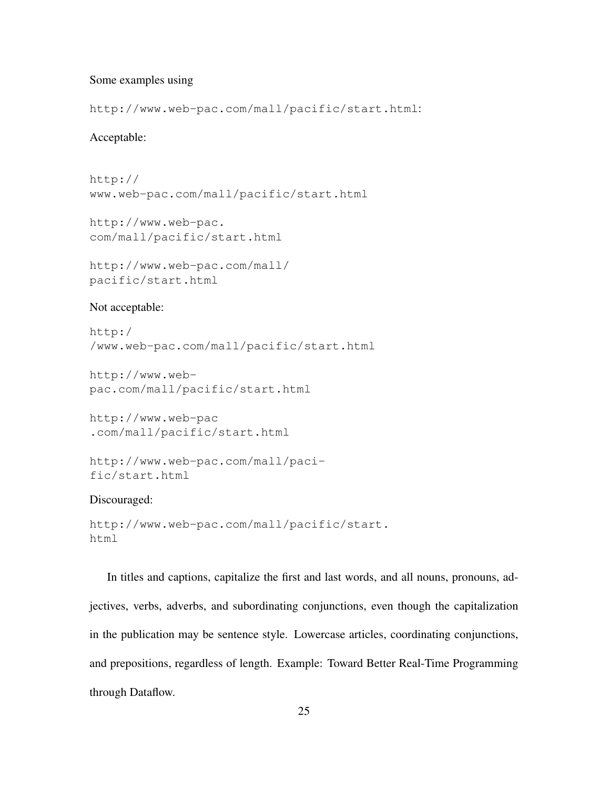## Some examples using

http://www.web-pac.com/mall/pacific/start.html:

## Acceptable:

```
http://
www.web-pac.com/mall/pacific/start.html
```
http://www.web-pac. com/mall/pacific/start.html

```
http://www.web-pac.com/mall/
pacific/start.html
```
## Not acceptable:

```
http:/
/www.web-pac.com/mall/pacific/start.html
```

```
http://www.web-
pac.com/mall/pacific/start.html
```

```
http://www.web-pac
.com/mall/pacific/start.html
```

```
http://www.web-pac.com/mall/paci-
fic/start.html
```
## Discouraged:

```
http://www.web-pac.com/mall/pacific/start.
html
```
In titles and captions, capitalize the first and last words, and all nouns, pronouns, adjectives, verbs, adverbs, and subordinating conjunctions, even though the capitalization in the publication may be sentence style. Lowercase articles, coordinating conjunctions, and prepositions, regardless of length. Example: Toward Better Real-Time Programming through Dataflow.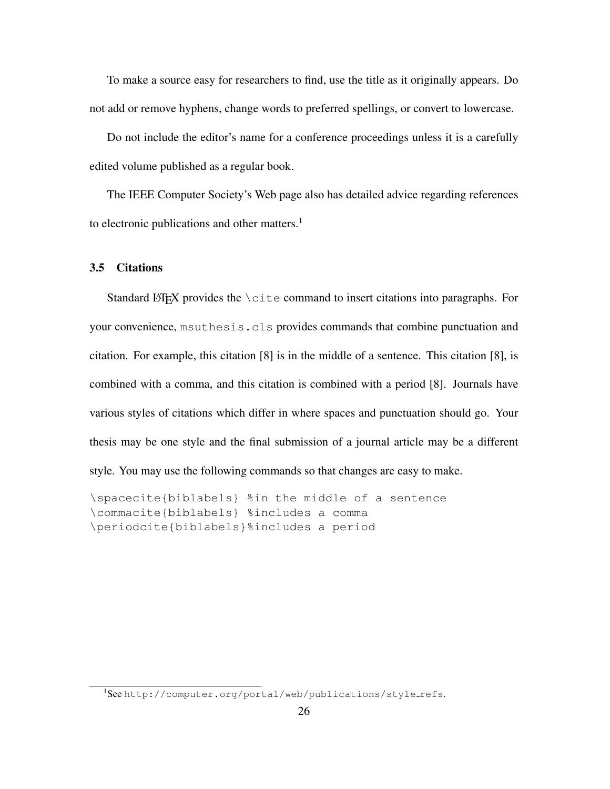To make a source easy for researchers to find, use the title as it originally appears. Do not add or remove hyphens, change words to preferred spellings, or convert to lowercase.

Do not include the editor's name for a conference proceedings unless it is a carefully edited volume published as a regular book.

The IEEE Computer Society's Web page also has detailed advice regarding references to electronic publications and other matters.<sup>1</sup>

## 3.5 Citations

Standard LATEX provides the  $\text{cite}$  command to insert citations into paragraphs. For your convenience, msuthesis.cls provides commands that combine punctuation and citation. For example, this citation [8] is in the middle of a sentence. This citation [8], is combined with a comma, and this citation is combined with a period [8]. Journals have various styles of citations which differ in where spaces and punctuation should go. Your thesis may be one style and the final submission of a journal article may be a different style. You may use the following commands so that changes are easy to make.

```
\spacecite{biblabels} %in the middle of a sentence
\commacite{biblabels} %includes a comma
\periodcite{biblabels}%includes a period
```
<sup>&</sup>lt;sup>1</sup>See http://computer.org/portal/web/publications/style\_refs.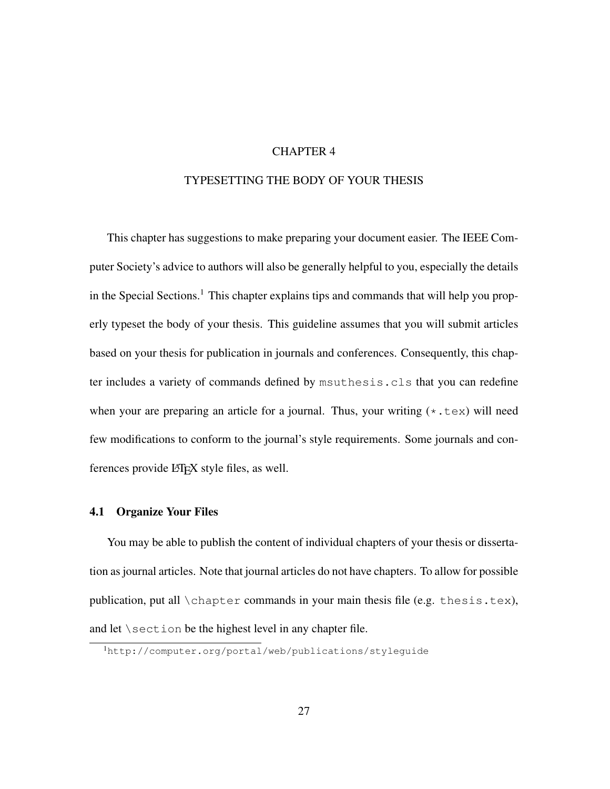## CHAPTER 4

## TYPESETTING THE BODY OF YOUR THESIS

This chapter has suggestions to make preparing your document easier. The IEEE Computer Society's advice to authors will also be generally helpful to you, especially the details in the Special Sections.<sup>1</sup> This chapter explains tips and commands that will help you properly typeset the body of your thesis. This guideline assumes that you will submit articles based on your thesis for publication in journals and conferences. Consequently, this chapter includes a variety of commands defined by msuthesis.cls that you can redefine when your are preparing an article for a journal. Thus, your writing  $(*.text) will need$ few modifications to conform to the journal's style requirements. Some journals and conferences provide L<sub>HE</sub>X style files, as well.

## 4.1 Organize Your Files

You may be able to publish the content of individual chapters of your thesis or dissertation as journal articles. Note that journal articles do not have chapters. To allow for possible publication, put all \chapter commands in your main thesis file (e.g. thesis.tex), and let \section be the highest level in any chapter file.

<sup>1</sup>http://computer.org/portal/web/publications/styleguide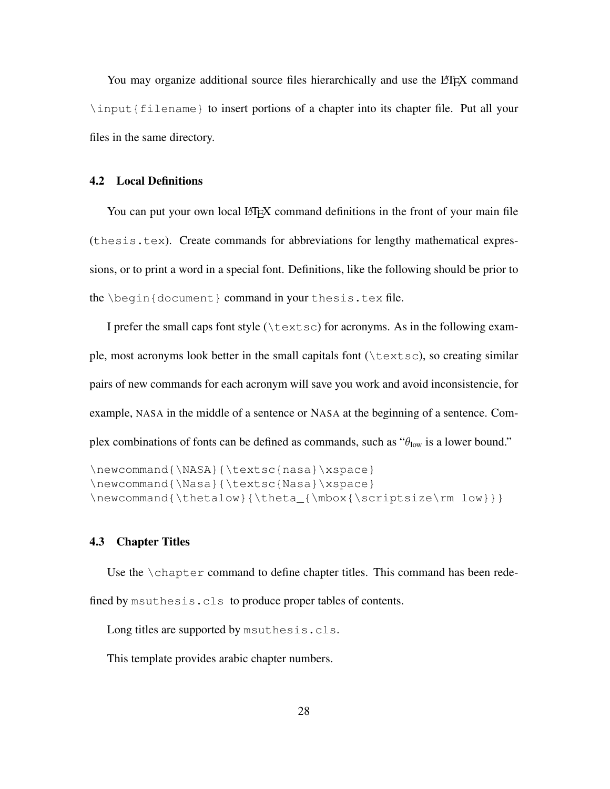You may organize additional source files hierarchically and use the LATEX command \input{filename} to insert portions of a chapter into its chapter file. Put all your files in the same directory.

## 4.2 Local Definitions

You can put your own local LATEX command definitions in the front of your main file (thesis.tex). Create commands for abbreviations for lengthy mathematical expressions, or to print a word in a special font. Definitions, like the following should be prior to the \begin{document} command in your thesis.tex file.

I prefer the small caps font style  $(\text{text } s)$  for acronyms. As in the following example, most acronyms look better in the small capitals font (\textsc), so creating similar pairs of new commands for each acronym will save you work and avoid inconsistencie, for example, NASA in the middle of a sentence or NASA at the beginning of a sentence. Complex combinations of fonts can be defined as commands, such as  $\theta_{\text{low}}$  is a lower bound."

```
\newcommand{\NASA}{\textsc{nasa}\xspace}
\newcommand{\Nasa}{\textsc{Nasa}\xspace}
\newcommand{\thetalow}{\theta_{\mbox{\scriptsize\rm low}}}
```
## 4.3 Chapter Titles

Use the \chapter command to define chapter titles. This command has been redefined by msuthesis.cls to produce proper tables of contents.

Long titles are supported by msuthesis.cls.

This template provides arabic chapter numbers.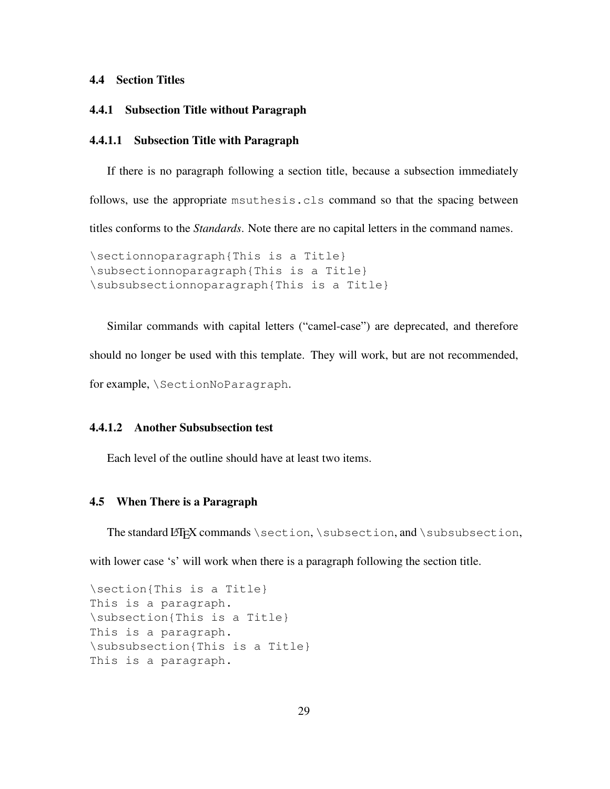## 4.4 Section Titles

## 4.4.1 Subsection Title without Paragraph

## 4.4.1.1 Subsection Title with Paragraph

If there is no paragraph following a section title, because a subsection immediately follows, use the appropriate msuthesis.cls command so that the spacing between titles conforms to the *Standards*. Note there are no capital letters in the command names.

\sectionnoparagraph{This is a Title} \subsectionnoparagraph{This is a Title} \subsubsectionnoparagraph{This is a Title}

Similar commands with capital letters ("camel-case") are deprecated, and therefore should no longer be used with this template. They will work, but are not recommended, for example, \SectionNoParagraph.

## 4.4.1.2 Another Subsubsection test

Each level of the outline should have at least two items.

## 4.5 When There is a Paragraph

The standard LATEX commands \section, \subsection, and \subsubsection,

with lower case 's' will work when there is a paragraph following the section title.

\section{This is a Title} This is a paragraph. \subsection{This is a Title} This is a paragraph. \subsubsection{This is a Title} This is a paragraph.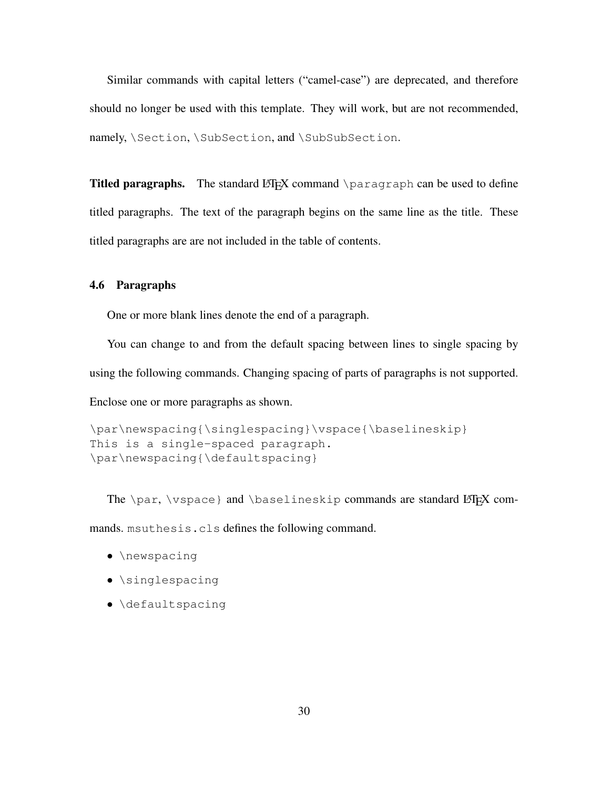Similar commands with capital letters ("camel-case") are deprecated, and therefore should no longer be used with this template. They will work, but are not recommended, namely, \Section, \SubSection, and \SubSubSection.

**Titled paragraphs.** The standard LATEX command \paragraph can be used to define titled paragraphs. The text of the paragraph begins on the same line as the title. These titled paragraphs are are not included in the table of contents.

## 4.6 Paragraphs

One or more blank lines denote the end of a paragraph.

You can change to and from the default spacing between lines to single spacing by using the following commands. Changing spacing of parts of paragraphs is not supported.

Enclose one or more paragraphs as shown.

```
\par\newspacing{\singlespacing}\vspace{\baselineskip}
This is a single-spaced paragraph.
\par\newspacing{\defaultspacing}
```
The  $\parrow$  \par,  $\varepsilon$ } and  $\bar{\varepsilon}$  and  $\bar{\varepsilon}$  commands are standard LATEX com-

mands. msuthesis.cls defines the following command.

- \newspacing
- \singlespacing
- \defaultspacing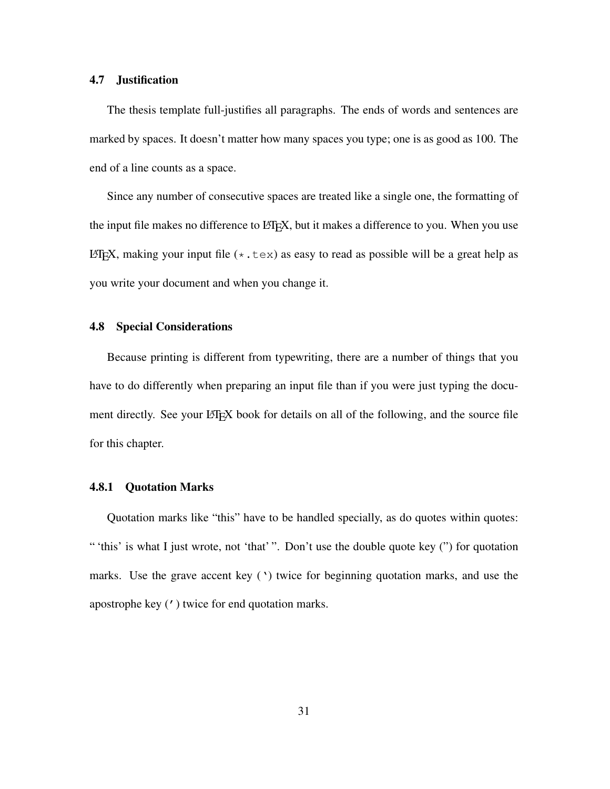## 4.7 Justification

The thesis template full-justifies all paragraphs. The ends of words and sentences are marked by spaces. It doesn't matter how many spaces you type; one is as good as 100. The end of a line counts as a space.

Since any number of consecutive spaces are treated like a single one, the formatting of the input file makes no difference to LAT<sub>EX</sub>, but it makes a difference to you. When you use LATEX, making your input file  $(*.$  tex) as easy to read as possible will be a great help as you write your document and when you change it.

## 4.8 Special Considerations

Because printing is different from typewriting, there are a number of things that you have to do differently when preparing an input file than if you were just typing the document directly. See your LATEX book for details on all of the following, and the source file for this chapter.

## 4.8.1 Quotation Marks

Quotation marks like "this" have to be handled specially, as do quotes within quotes: " 'this' is what I just wrote, not 'that' ". Don't use the double quote key (") for quotation marks. Use the grave accent key (') twice for beginning quotation marks, and use the apostrophe key (') twice for end quotation marks.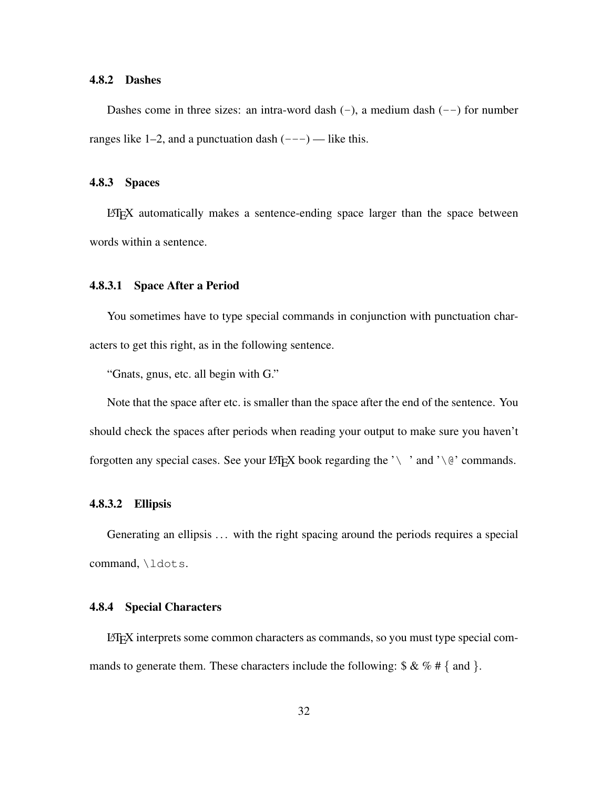## 4.8.2 Dashes

Dashes come in three sizes: an intra-word dash  $(-)$ , a medium dash  $(-)$  for number ranges like 1–2, and a punctuation dash  $(- - )$  — like this.

## 4.8.3 Spaces

LATEX automatically makes a sentence-ending space larger than the space between words within a sentence.

## 4.8.3.1 Space After a Period

You sometimes have to type special commands in conjunction with punctuation characters to get this right, as in the following sentence.

"Gnats, gnus, etc. all begin with G."

Note that the space after etc. is smaller than the space after the end of the sentence. You should check the spaces after periods when reading your output to make sure you haven't forgotten any special cases. See your LATEX book regarding the '\ ' and '\ $\theta$ ' commands.

## 4.8.3.2 Ellipsis

Generating an ellipsis ... with the right spacing around the periods requires a special command, \ldots.

## 4.8.4 Special Characters

LATEX interprets some common characters as commands, so you must type special commands to generate them. These characters include the following:  $\& \& \% \# \{ \text{ and } \}.$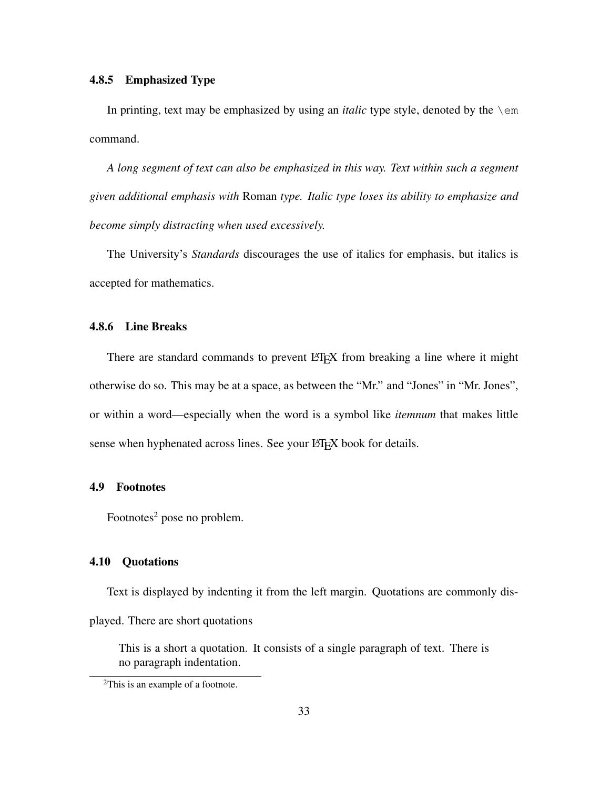## 4.8.5 Emphasized Type

In printing, text may be emphasized by using an *italic* type style, denoted by the \em command.

*A long segment of text can also be emphasized in this way. Text within such a segment given additional emphasis with* Roman *type. Italic type loses its ability to emphasize and become simply distracting when used excessively.*

The University's *Standards* discourages the use of italics for emphasis, but italics is accepted for mathematics.

## 4.8.6 Line Breaks

There are standard commands to prevent LATEX from breaking a line where it might otherwise do so. This may be at a space, as between the "Mr." and "Jones" in "Mr. Jones", or within a word—especially when the word is a symbol like *itemnum* that makes little sense when hyphenated across lines. See your LAT<sub>E</sub>X book for details.

## 4.9 Footnotes

Footnotes<sup>2</sup> pose no problem.

## 4.10 Quotations

Text is displayed by indenting it from the left margin. Quotations are commonly displayed. There are short quotations

This is a short a quotation. It consists of a single paragraph of text. There is no paragraph indentation.

<sup>2</sup>This is an example of a footnote.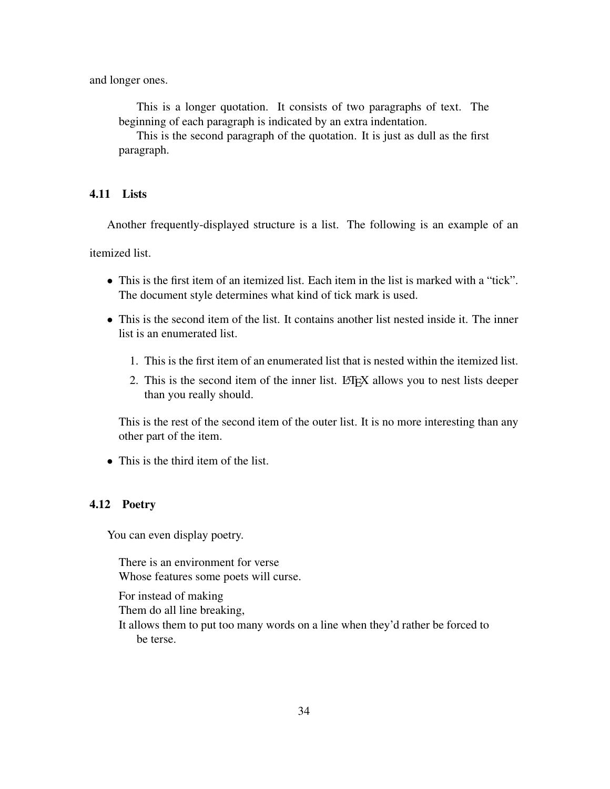and longer ones.

This is a longer quotation. It consists of two paragraphs of text. The beginning of each paragraph is indicated by an extra indentation.

This is the second paragraph of the quotation. It is just as dull as the first paragraph.

## 4.11 Lists

Another frequently-displayed structure is a list. The following is an example of an

itemized list.

- This is the first item of an itemized list. Each item in the list is marked with a "tick". The document style determines what kind of tick mark is used.
- This is the second item of the list. It contains another list nested inside it. The inner list is an enumerated list.
	- 1. This is the first item of an enumerated list that is nested within the itemized list.
	- 2. This is the second item of the inner list. LAT<sub>E</sub>X allows you to nest lists deeper than you really should.

This is the rest of the second item of the outer list. It is no more interesting than any other part of the item.

• This is the third item of the list.

## 4.12 Poetry

You can even display poetry.

There is an environment for verse Whose features some poets will curse.

For instead of making Them do all line breaking, It allows them to put too many words on a line when they'd rather be forced to be terse.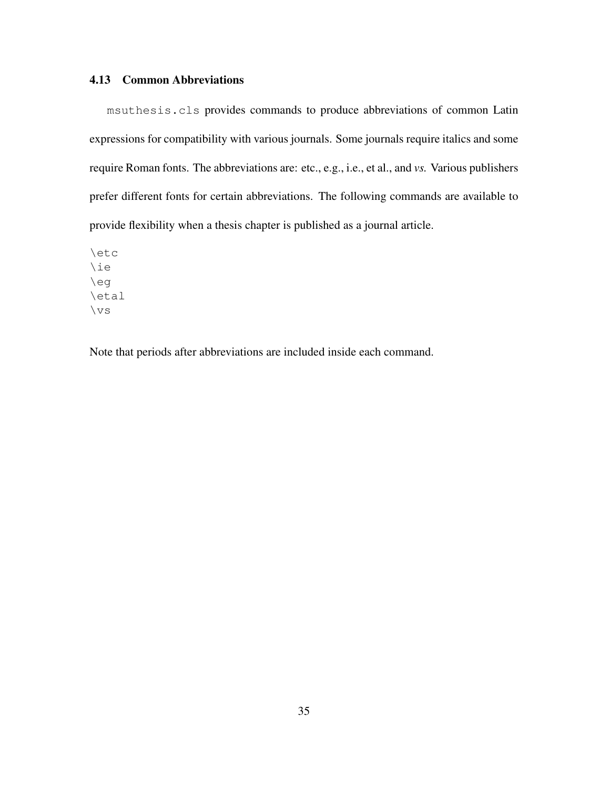## 4.13 Common Abbreviations

msuthesis.cls provides commands to produce abbreviations of common Latin expressions for compatibility with various journals. Some journals require italics and some require Roman fonts. The abbreviations are: etc., e.g., i.e., et al., and *vs.* Various publishers prefer different fonts for certain abbreviations. The following commands are available to provide flexibility when a thesis chapter is published as a journal article.

\etc \ie \eg \etal \vs

Note that periods after abbreviations are included inside each command.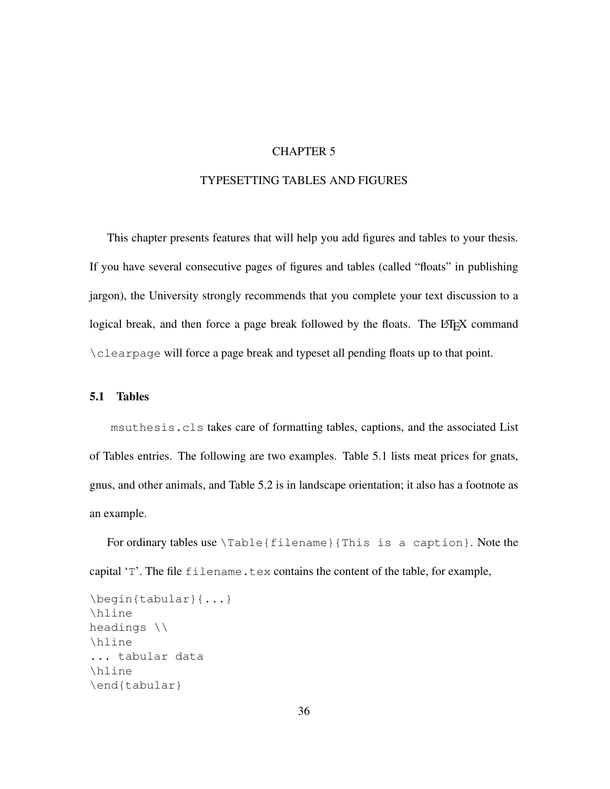## CHAPTER 5

## TYPESETTING TABLES AND FIGURES

This chapter presents features that will help you add figures and tables to your thesis. If you have several consecutive pages of figures and tables (called "floats" in publishing jargon), the University strongly recommends that you complete your text discussion to a logical break, and then force a page break followed by the floats. The  $\mathbb{E} E \to X$  command \clearpage will force a page break and typeset all pending floats up to that point.

## 5.1 Tables

msuthesis.cls takes care of formatting tables, captions, and the associated List of Tables entries. The following are two examples. Table 5.1 lists meat prices for gnats, gnus, and other animals, and Table 5.2 is in landscape orientation; it also has a footnote as an example.

For ordinary tables use \Table{filename}{This is a caption}. Note the capital  $T'$ . The file filename.tex contains the content of the table, for example,

```
\begin{tabular}{...}
\hline
headings \\
\hline
... tabular data
\hline
\end{tabular}
```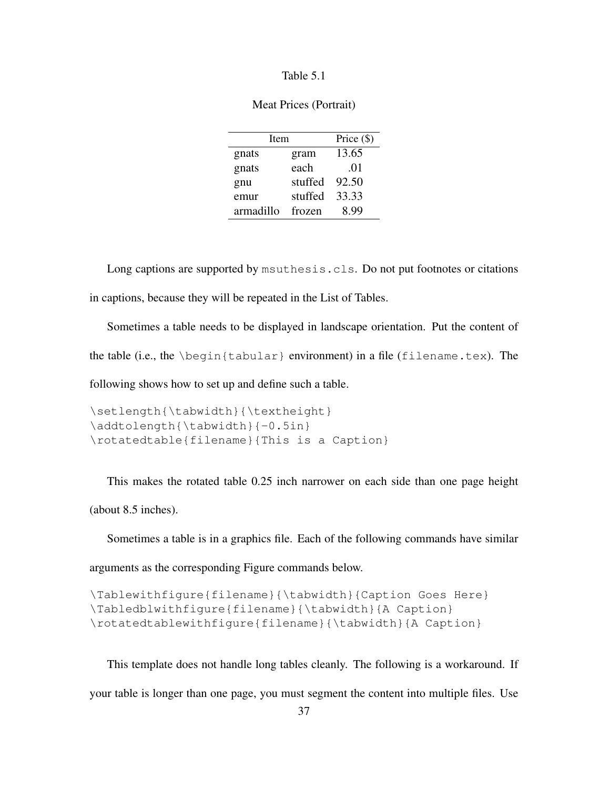## Table 5.1

| Meat Prices (Portrait) |  |
|------------------------|--|
|------------------------|--|

| Item      |         | Price $(\$)$ |
|-----------|---------|--------------|
| gnats     | gram    | 13.65        |
| gnats     | each    | .01          |
| gnu       | stuffed | 92.50        |
| emur      | stuffed | 33.33        |
| armadillo | frozen  | 899          |

Long captions are supported by msuthesis.cls. Do not put footnotes or citations in captions, because they will be repeated in the List of Tables.

Sometimes a table needs to be displayed in landscape orientation. Put the content of the table (i.e., the \begin{tabular} environment) in a file (filename.tex). The

following shows how to set up and define such a table.

```
\setlength{\tabwidth}{\textheight}
\addtolength{\tabwidth}{-0.5in}
\rotatedtable{filename}{This is a Caption}
```
This makes the rotated table 0.25 inch narrower on each side than one page height (about 8.5 inches).

Sometimes a table is in a graphics file. Each of the following commands have similar

arguments as the corresponding Figure commands below.

```
\Tablewithfigure{filename}{\tabwidth}{Caption Goes Here}
\Tabledblwithfigure{filename}{\tabwidth}{A Caption}
\rotatedtablewithfigure{filename}{\tabwidth}{A Caption}
```
This template does not handle long tables cleanly. The following is a workaround. If

your table is longer than one page, you must segment the content into multiple files. Use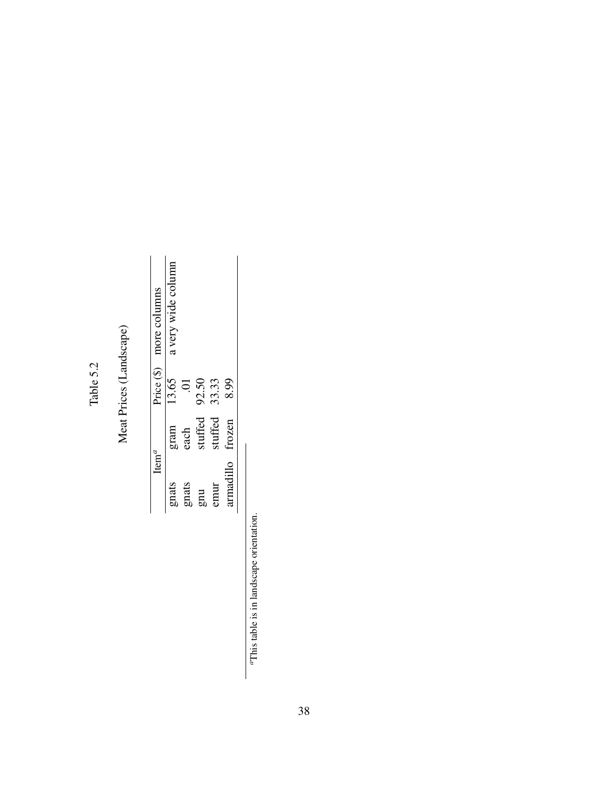# Table 5.2

# Meat Prices (Landscape) Meat Prices (Landscape)

| Price $(\S)$ more columns | a very wide column |         |              |         |           |
|---------------------------|--------------------|---------|--------------|---------|-----------|
|                           | 13.65              |         | 92.50        | 33.33   | 8.99      |
|                           | gram               | $e$ ach | stuffed      | stuffed | trozen    |
| $\mathrm{Item}^d$         | gnats              | gnats   | $g_{\rm nu}$ | nur     | armadillo |

 $\alpha$ This table is in landscape orientation. *a*This table is in landscape orientation.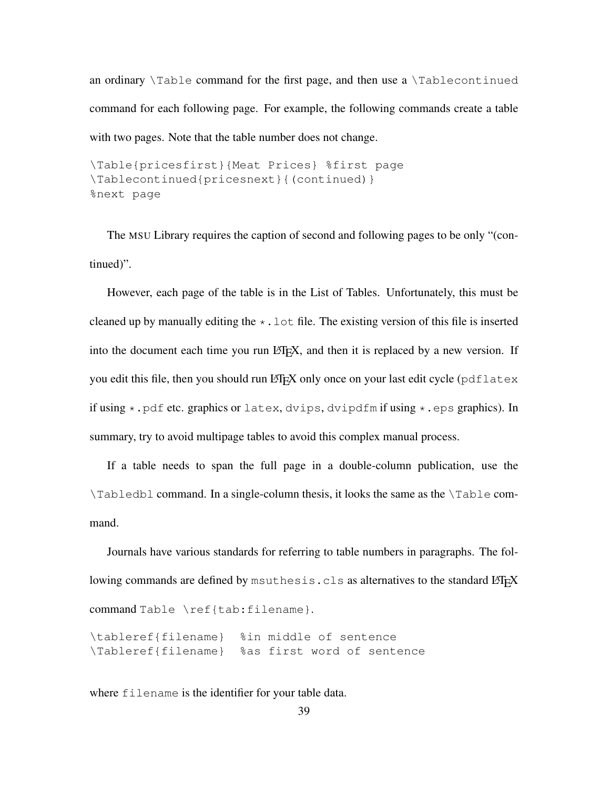an ordinary  $\text{Table}$  command for the first page, and then use a  $\text{Table}$  continued command for each following page. For example, the following commands create a table with two pages. Note that the table number does not change.

```
\Table{pricesfirst}{Meat Prices} %first page
\Tablecontinued{pricesnext}{(continued)}
%next page
```
The MSU Library requires the caption of second and following pages to be only "(continued)".

However, each page of the table is in the List of Tables. Unfortunately, this must be cleaned up by manually editing the  $\star$ . Lot file. The existing version of this file is inserted into the document each time you run LAT<sub>EX</sub>, and then it is replaced by a new version. If you edit this file, then you should run LATEX only once on your last edit cycle ( $pdf$ Latex if using \*.pdf etc. graphics or latex, dvips, dvipdfm if using \*.eps graphics). In summary, try to avoid multipage tables to avoid this complex manual process.

If a table needs to span the full page in a double-column publication, use the \Tabledbl command. In a single-column thesis, it looks the same as the \Table command.

Journals have various standards for referring to table numbers in paragraphs. The following commands are defined by msuthesis.cls as alternatives to the standard LATEX command Table \ref{tab:filename}.

\tableref{filename} %in middle of sentence \Tableref{filename} %as first word of sentence

where filename is the identifier for your table data.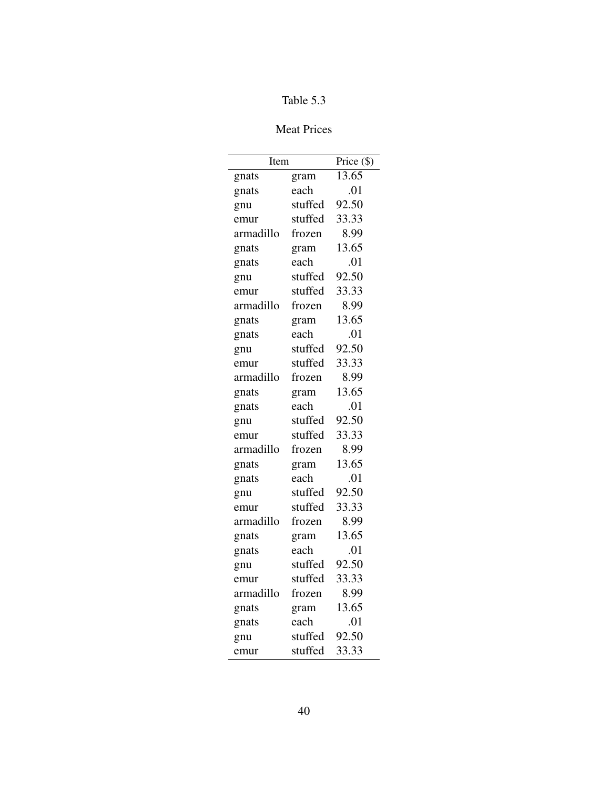# Table 5.3

# Meat Prices

| Item      |         | Price (\$) |
|-----------|---------|------------|
| gnats     | gram    | 13.65      |
| gnats     | each    | .01        |
| gnu       | stuffed | 92.50      |
| emur      | stuffed | 33.33      |
| armadillo | frozen  | 8.99       |
| gnats     | gram    | 13.65      |
| gnats     | each    | .01        |
| gnu       | stuffed | 92.50      |
| emur      | stuffed | 33.33      |
| armadillo | frozen  | 8.99       |
| gnats     | gram    | 13.65      |
| gnats     | each    | .01        |
| gnu       | stuffed | 92.50      |
| emur      | stuffed | 33.33      |
| armadillo | frozen  | 8.99       |
| gnats     | gram    | 13.65      |
| gnats     | each    | .01        |
| gnu       | stuffed | 92.50      |
| emur      | stuffed | 33.33      |
| armadillo | frozen  | 8.99       |
| gnats     | gram    | 13.65      |
| gnats     | each    | .01        |
| gnu       | stuffed | 92.50      |
| emur      | stuffed | 33.33      |
| armadillo | frozen  | 8.99       |
| gnats     | gram    | 13.65      |
| gnats     | each    | .01        |
| gnu       | stuffed | 92.50      |
| emur      | stuffed | 33.33      |
| armadillo | frozen  | 8.99       |
| gnats     | gram    | 13.65      |
| gnats     | each    | .01        |
| gnu       | stuffed | 92.50      |
| emur      | stuffed | 33.33      |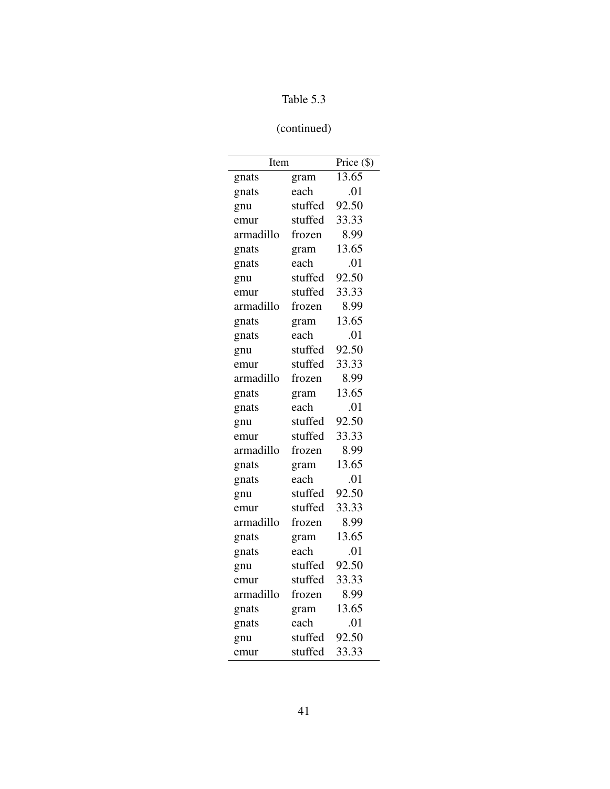# Table 5.3

# (continued)

| Item      |         | Price $(\$)$ |
|-----------|---------|--------------|
| gnats     | gram    | 13.65        |
| gnats     | each    | .01          |
| gnu       | stuffed | 92.50        |
| emur      | stuffed | 33.33        |
| armadillo | frozen  | 8.99         |
| gnats     | gram    | 13.65        |
| gnats     | each    | .01          |
| gnu       | stuffed | 92.50        |
| emur      | stuffed | 33.33        |
| armadillo | frozen  | 8.99         |
| gnats     | gram    | 13.65        |
| gnats     | each    | .01          |
| gnu       | stuffed | 92.50        |
| emur      | stuffed | 33.33        |
| armadillo | frozen  | 8.99         |
| gnats     | gram    | 13.65        |
| gnats     | each    | .01          |
| gnu       | stuffed | 92.50        |
| emur      | stuffed | 33.33        |
| armadillo | frozen  | 8.99         |
| gnats     | gram    | 13.65        |
| gnats     | each    | .01          |
| gnu       | stuffed | 92.50        |
| emur      | stuffed | 33.33        |
| armadillo | frozen  | 8.99         |
| gnats     | gram    | 13.65        |
| gnats     | each    | .01          |
| gnu       | stuffed | 92.50        |
| emur      | stuffed | 33.33        |
| armadillo | frozen  | 8.99         |
| gnats     | gram    | 13.65        |
| gnats     | each    | .01          |
| gnu       | stuffed | 92.50        |
| emur      | stuffed | 33.33        |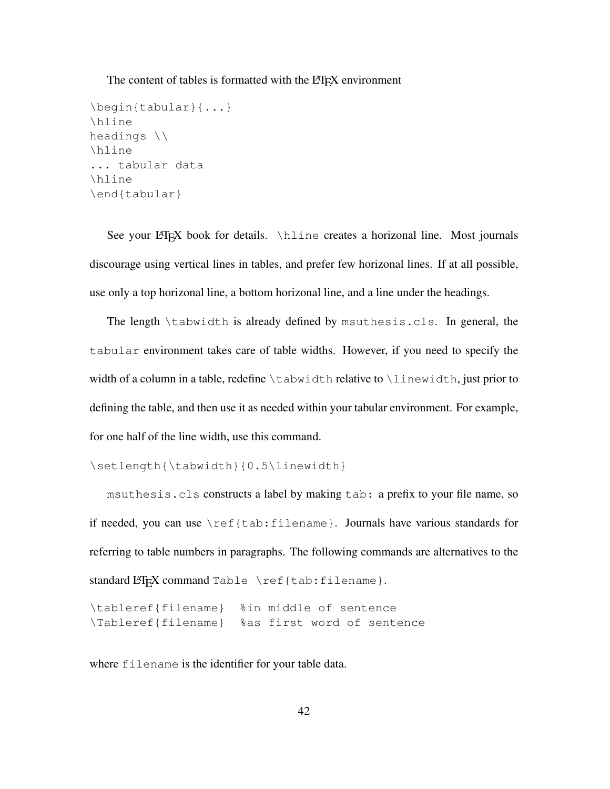The content of tables is formatted with the LATEX environment

```
\begin{tabular}{...}
\hline
headings \\
\hline
... tabular data
\hline
\end{tabular}
```
See your LATEX book for details. \hline creates a horizonal line. Most journals discourage using vertical lines in tables, and prefer few horizonal lines. If at all possible, use only a top horizonal line, a bottom horizonal line, and a line under the headings.

The length \tabwidth is already defined by msuthesis.cls. In general, the tabular environment takes care of table widths. However, if you need to specify the width of a column in a table, redefine  $\cdot$  tabwidth relative to  $\cdot$  linewidth, just prior to defining the table, and then use it as needed within your tabular environment. For example, for one half of the line width, use this command.

\setlength{\tabwidth}{0.5\linewidth}

msuthesis.cls constructs a label by making tab: a prefix to your file name, so if needed, you can use \ref{tab:filename}. Journals have various standards for referring to table numbers in paragraphs. The following commands are alternatives to the standard LATEX command Table \ref{tab:filename}.

\tableref{filename} %in middle of sentence \Tableref{filename} %as first word of sentence

where filename is the identifier for your table data.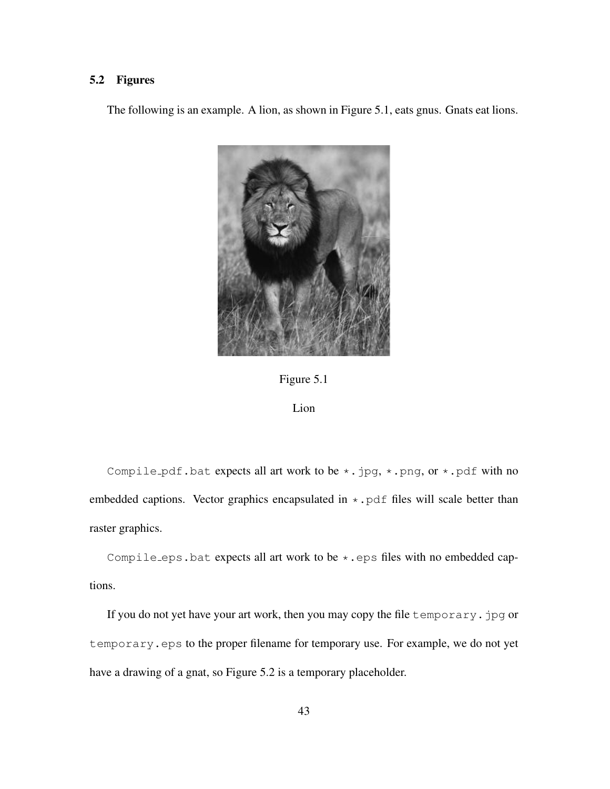## 5.2 Figures

The following is an example. A lion, as shown in Figure 5.1, eats gnus. Gnats eat lions.





## Lion

Compile pdf.bat expects all art work to be  $\star$ .jpg,  $\star$ .png, or  $\star$ .pdf with no embedded captions. Vector graphics encapsulated in  $\star$ . pdf files will scale better than raster graphics.

Compile eps.bat expects all art work to be  $\star$ . eps files with no embedded captions.

If you do not yet have your art work, then you may copy the file temporary. jpg or temporary.eps to the proper filename for temporary use. For example, we do not yet have a drawing of a gnat, so Figure 5.2 is a temporary placeholder.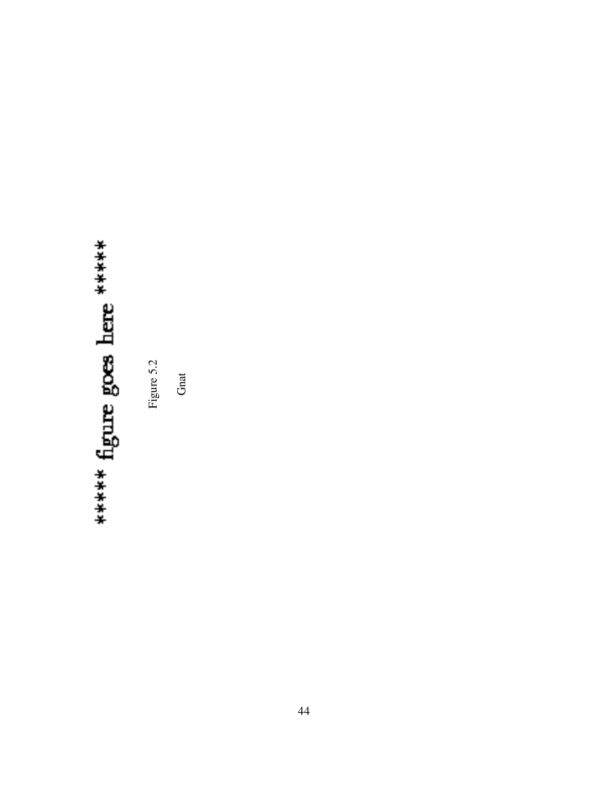# \*\*\*\*\*\* figure goes here \*\*\*\*\*\*

Figure 5.2

**Gnat**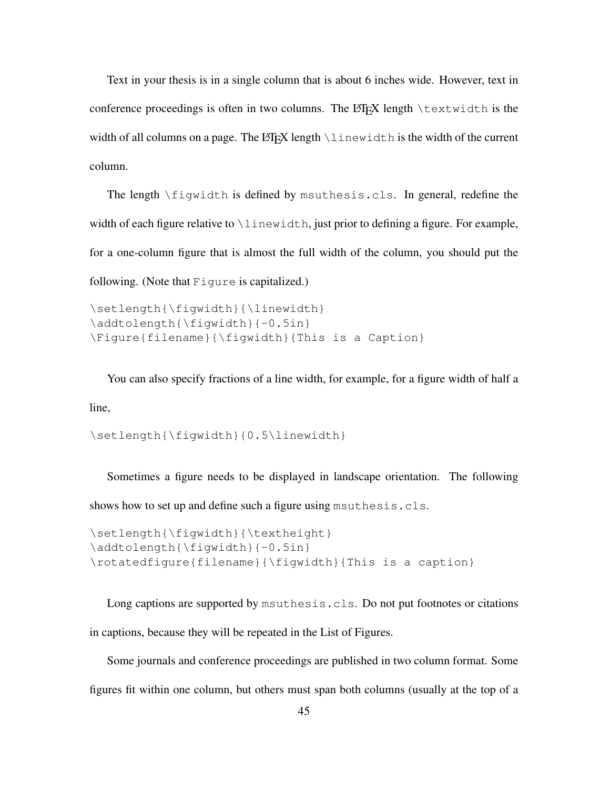Text in your thesis is in a single column that is about 6 inches wide. However, text in conference proceedings is often in two columns. The  $\mathbb{E} \mathbb{F} \times \mathbb{E}$  length  $\text{textwidth}$  is the width of all columns on a page. The  $\mathbb{F}$ X length  $\lambda$  inewidth is the width of the current column.

The length \figwidth is defined by msuthesis.cls. In general, redefine the width of each figure relative to \linewidth, just prior to defining a figure. For example, for a one-column figure that is almost the full width of the column, you should put the following. (Note that Figure is capitalized.)

```
\setlength{\figwidth}{\linewidth}
\addtolength{\figwidth}{-0.5in}
\Figure{filename}{\figwidth}{This is a Caption}
```
You can also specify fractions of a line width, for example, for a figure width of half a line,

\setlength{\figwidth}{0.5\linewidth}

Sometimes a figure needs to be displayed in landscape orientation. The following shows how to set up and define such a figure using msuthesis.cls.

```
\setlength{\figwidth}{\textheight}
\addtolength{\figwidth}{-0.5in}
\rotatedfigure{filename}{\figwidth}{This is a caption}
```
Long captions are supported by msuthesis.cls. Do not put footnotes or citations in captions, because they will be repeated in the List of Figures.

Some journals and conference proceedings are published in two column format. Some figures fit within one column, but others must span both columns (usually at the top of a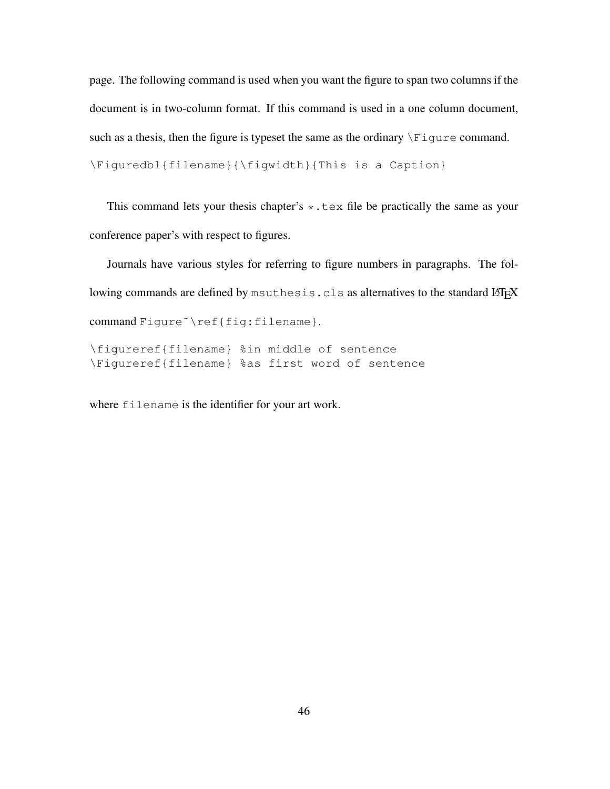page. The following command is used when you want the figure to span two columns if the document is in two-column format. If this command is used in a one column document, such as a thesis, then the figure is typeset the same as the ordinary  $\F$ iqure command. \Figuredbl{filename}{\figwidth}{This is a Caption}

This command lets your thesis chapter's  $\star$ . tex file be practically the same as your conference paper's with respect to figures.

Journals have various styles for referring to figure numbers in paragraphs. The following commands are defined by msuthesis.cls as alternatives to the standard LATEX command Figure<sup>~</sup>\ref{fig:filename}.

\figureref{filename} %in middle of sentence \Figureref{filename} %as first word of sentence

where filename is the identifier for your art work.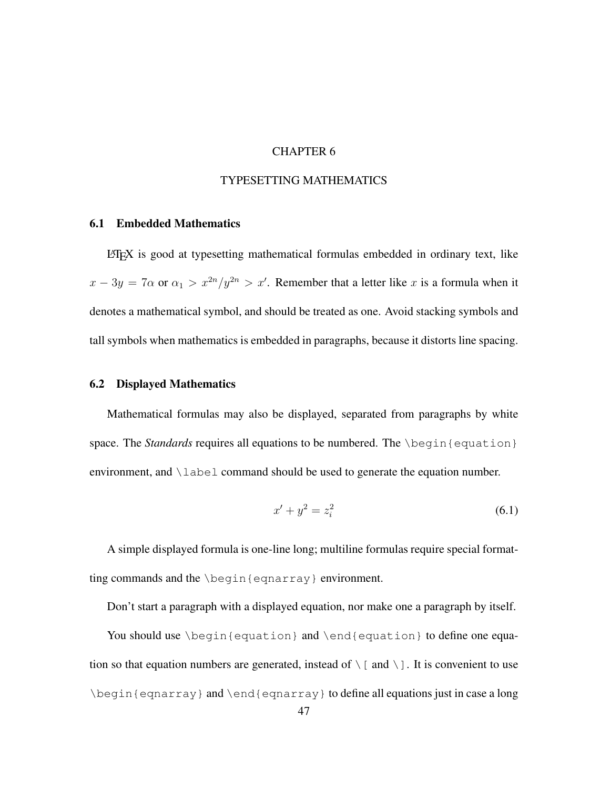## CHAPTER 6

## TYPESETTING MATHEMATICS

## 6.1 Embedded Mathematics

 $L^2$ FEX is good at typesetting mathematical formulas embedded in ordinary text, like  $x - 3y = 7\alpha$  or  $\alpha_1 > x^{2n}/y^{2n} > x'$ . Remember that a letter like x is a formula when it denotes a mathematical symbol, and should be treated as one. Avoid stacking symbols and tall symbols when mathematics is embedded in paragraphs, because it distorts line spacing.

## 6.2 Displayed Mathematics

Mathematical formulas may also be displayed, separated from paragraphs by white space. The *Standards* requires all equations to be numbered. The *\begin{equation}* environment, and  $\lambda$  abel command should be used to generate the equation number.

$$
x' + y^2 = z_i^2 \tag{6.1}
$$

A simple displayed formula is one-line long; multiline formulas require special formatting commands and the \begin{eqnarray} environment.

Don't start a paragraph with a displayed equation, nor make one a paragraph by itself.

You should use \begin{equation} and \end{equation} to define one equation so that equation numbers are generated, instead of  $\setminus$  [ and  $\setminus$  ]. It is convenient to use \begin{eqnarray} and \end{eqnarray} to define all equations just in case a long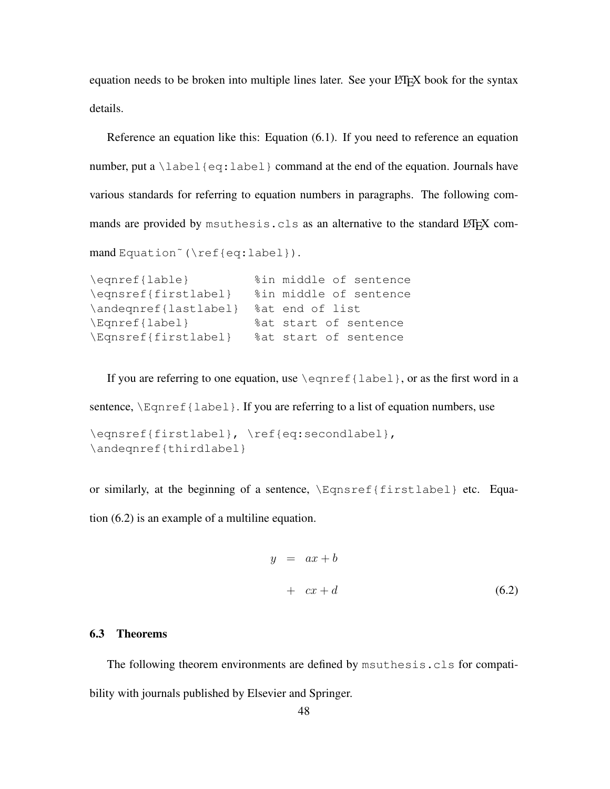equation needs to be broken into multiple lines later. See your LATEX book for the syntax details.

Reference an equation like this: Equation (6.1). If you need to reference an equation number, put a  $\lambda$ label{eq:label} command at the end of the equation. Journals have various standards for referring to equation numbers in paragraphs. The following commands are provided by msuthesis.cls as an alternative to the standard LATEX command Equation˜(\ref{eq:label}).

```
\eqnref{lable} %in middle of sentence
\eqnsref{firstlabel} %in middle of sentence
\andeqnref{lastlabel} %at end of list
\Eqnref{label} %at start of sentence
\Eqnsref{firstlabel} %at start of sentence
```
If you are referring to one equation, use  $\equiv{$  {label}, or as the first word in a

sentence,  $\text{Perpref}$  [label]. If you are referring to a list of equation numbers, use

```
\eqnsref{firstlabel}, \ref{eq:secondlabel},
\andeqnref{thirdlabel}
```
or similarly, at the beginning of a sentence, \Eqnsref{firstlabel} etc. Equa-

tion (6.2) is an example of a multiline equation.

$$
y = ax + b
$$
  
+ cx + d (6.2)

## 6.3 Theorems

The following theorem environments are defined by msuthesis.cls for compatibility with journals published by Elsevier and Springer.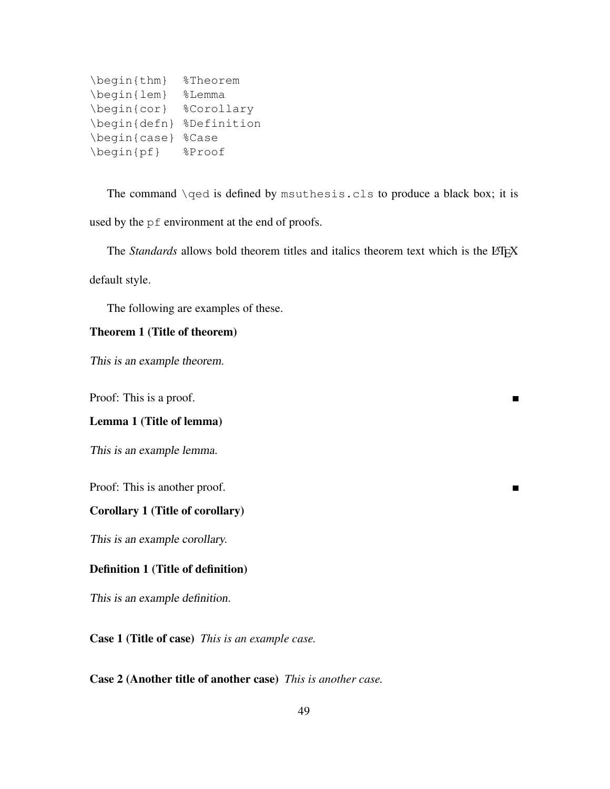| \begin{thm}                                         | <i><b>%Theorem</b></i> |
|-----------------------------------------------------|------------------------|
| \begin{lem}                                         | %Lemma                 |
| $\begin{cases} \cos \theta & \text{or} \end{cases}$ | %Corollary             |
| $\begin{bmatrix} \text{defn} \end{bmatrix}$         | %Definition            |
| \begin{case}                                        | %Case                  |
| $\begin{bmatrix} pf \end{bmatrix}$                  | %Proof                 |

The command \qed is defined by msuthesis.cls to produce a black box; it is used by the pf environment at the end of proofs.

The *Standards* allows bold theorem titles and italics theorem text which is the L<sup>AT</sup>EX

 $\blacksquare$ 

 $\blacksquare$ 

default style.

The following are examples of these.

## Theorem 1 (Title of theorem)

This is an example theorem.

Proof: This is a proof.

## Lemma 1 (Title of lemma)

This is an example lemma.

Proof: This is another proof.

## Corollary 1 (Title of corollary)

This is an example corollary.

## Definition 1 (Title of definition)

This is an example definition.

Case 1 (Title of case) *This is an example case.*

## Case 2 (Another title of another case) *This is another case.*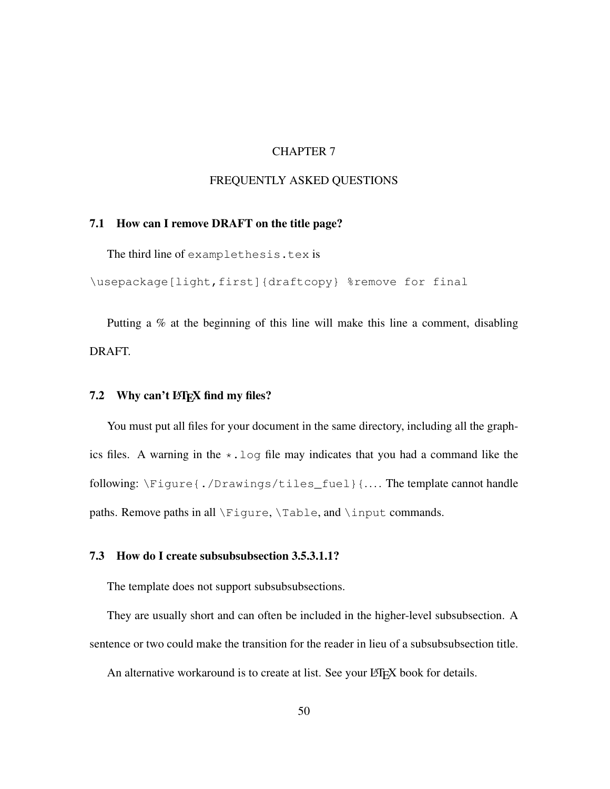## CHAPTER 7

## FREQUENTLY ASKED QUESTIONS

## 7.1 How can I remove DRAFT on the title page?

The third line of examplethesis.tex is

\usepackage[light,first]{draftcopy} %remove for final

Putting a % at the beginning of this line will make this line a comment, disabling DRAFT.

## 7.2 Why can't  $\text{Lipx}$  find my files?

You must put all files for your document in the same directory, including all the graphics files. A warning in the  $\star$ .  $log$  file may indicates that you had a command like the following: \Figure{./Drawings/tiles\_fuel}{.... The template cannot handle paths. Remove paths in all \Figure, \Table, and \input commands.

## 7.3 How do I create subsubsubsection 3.5.3.1.1?

The template does not support subsubsubsections.

They are usually short and can often be included in the higher-level subsubsection. A sentence or two could make the transition for the reader in lieu of a subsubsubsection title.

An alternative workaround is to create at list. See your LATEX book for details.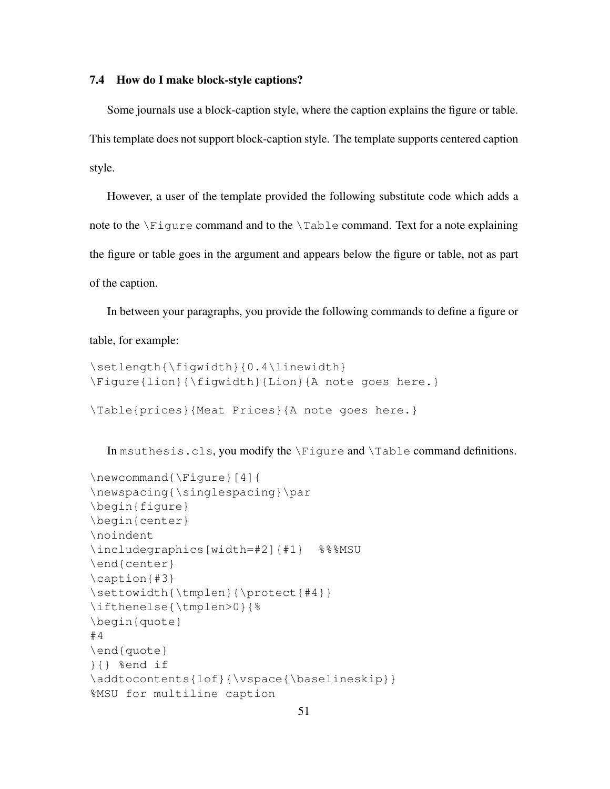## 7.4 How do I make block-style captions?

Some journals use a block-caption style, where the caption explains the figure or table. This template does not support block-caption style. The template supports centered caption style.

However, a user of the template provided the following substitute code which adds a note to the \Figure command and to the \Table command. Text for a note explaining the figure or table goes in the argument and appears below the figure or table, not as part of the caption.

In between your paragraphs, you provide the following commands to define a figure or table, for example:

```
\setlength{\figwidth}{0.4\linewidth}
\Figure{lion}{\figwidth}{Lion}{A note goes here.}
\Table{prices}{Meat Prices}{A note goes here.}
```
In msuthesis.cls, you modify the \Figure and \Table command definitions.

```
\newcommand{\Figure}[4]{
\newspacing{\singlespacing}\par
\begin{figure}
\begin{center}
\noindent
\includegraphics[width=#2]{#1} %%%MSU
\end{center}
\caption{#3}
\settowidth{\tmplen}{\protect{#4}}
\ifthenelse{\tmplen>0}{%
\begin{quote}
#4
\end{quote}
}{} %end if
\addtocontents{lof}{\vspace{\baselineskip}}
%MSU for multiline caption
```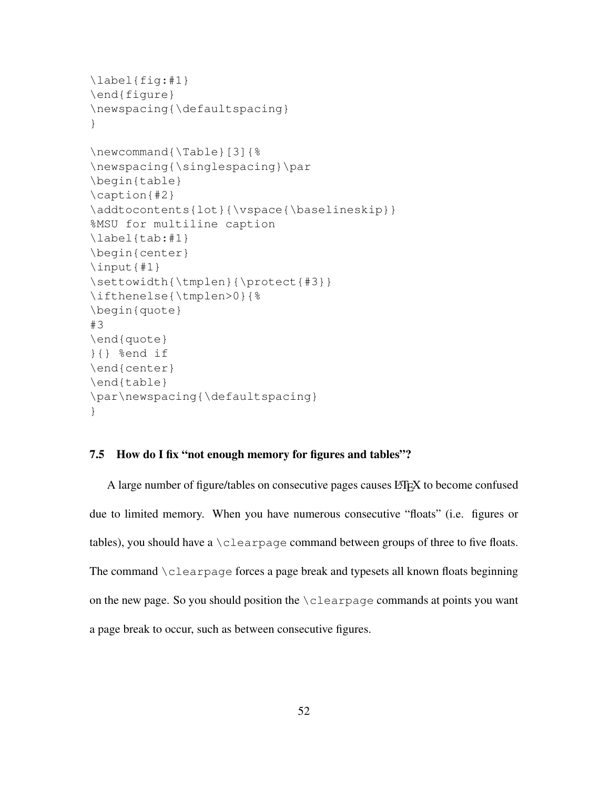```
\label{fig:#1}
\end{figure}
\newspacing{\defaultspacing}
}
\newcommand{\Table}[3]{%
\newspacing{\singlespacing}\par
\begin{table}
\caption{#2}
\addtocontents{lot}{\vspace{\baselineskip}}
%MSU for multiline caption
\label{tab:#1}
\begin{center}
\input{#1}
\settowidth{\tmplen}{\protect{#3}}
\ifthenelse{\tmplen>0}{%
\begin{quote}
#3
\end{quote}
}{} %end if
\end{center}
\end{table}
\par\newspacing{\defaultspacing}
}
```
## 7.5 How do I fix "not enough memory for figures and tables"?

A large number of figure/tables on consecutive pages causes LAT<sub>EX</sub> to become confused due to limited memory. When you have numerous consecutive "floats" (i.e. figures or tables), you should have a  $\cceq$  clearpage command between groups of three to five floats. The command \clearpage forces a page break and typesets all known floats beginning on the new page. So you should position the  $\cceq$  carpage commands at points you want a page break to occur, such as between consecutive figures.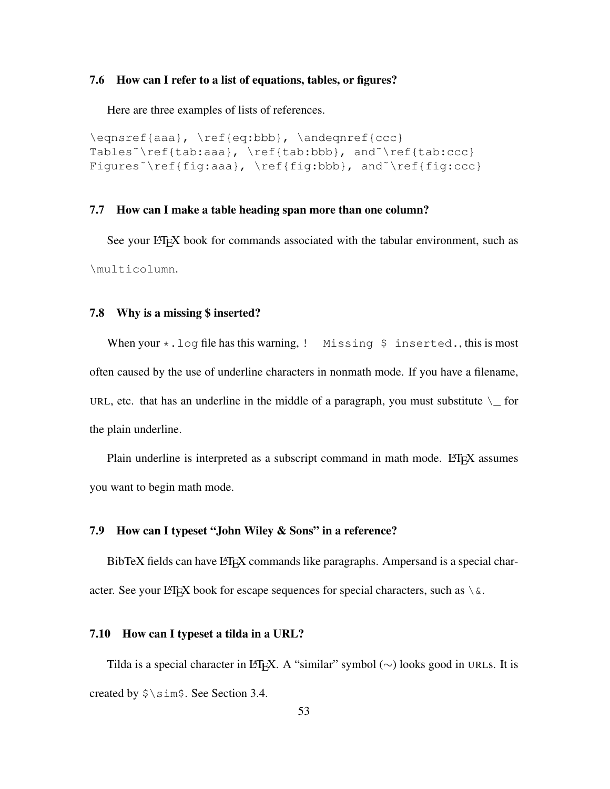## 7.6 How can I refer to a list of equations, tables, or figures?

Here are three examples of lists of references.

```
\eqnsref{aaa}, \ref{eq:bbb}, \andeqnref{ccc}
Tables˜\ref{tab:aaa}, \ref{tab:bbb}, and˜\ref{tab:ccc}
Figures<sup>~</sup>\ref{fig:aaa}, \ref{fig:bbb}, and<sup>~</sup>\ref{fig:ccc}
```
## 7.7 How can I make a table heading span more than one column?

See your LATEX book for commands associated with the tabular environment, such as \multicolumn.

## 7.8 Why is a missing \$ inserted?

When your  $\star$ . log file has this warning, ! Missing \$ inserted., this is most often caused by the use of underline characters in nonmath mode. If you have a filename, URL, etc. that has an underline in the middle of a paragraph, you must substitute  $\setminus$  for the plain underline.

Plain underline is interpreted as a subscript command in math mode. LATEX assumes you want to begin math mode.

## 7.9 How can I typeset "John Wiley & Sons" in a reference?

BibTeX fields can have LAT<sub>EX</sub> commands like paragraphs. Ampersand is a special character. See your LATEX book for escape sequences for special characters, such as  $\setminus \&$ .

## 7.10 How can I typeset a tilda in a URL?

Tilda is a special character in LATEX. A "similar" symbol ( $\sim$ ) looks good in URLs. It is created by \$\sim\$. See Section 3.4.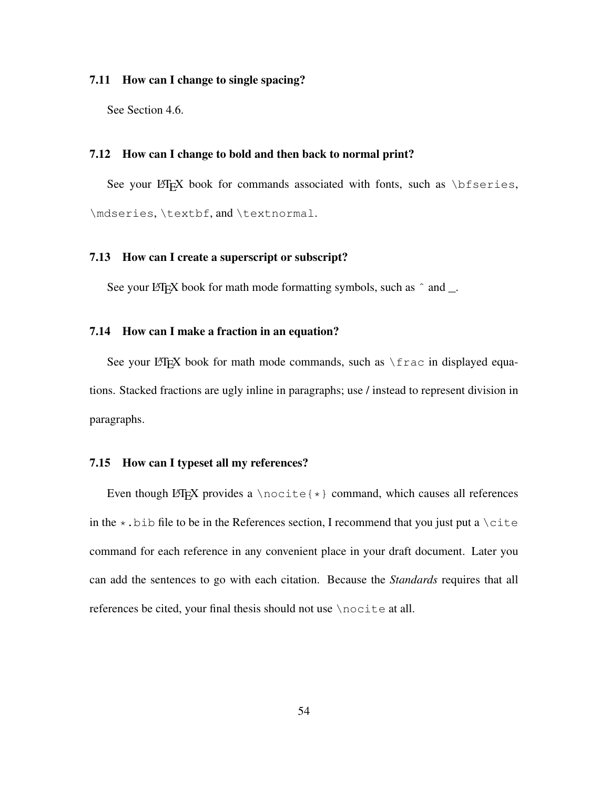## 7.11 How can I change to single spacing?

See Section 4.6.

## 7.12 How can I change to bold and then back to normal print?

See your LATEX book for commands associated with fonts, such as  $\bf$  bfseries, \mdseries, \textbf, and \textnormal.

## 7.13 How can I create a superscript or subscript?

See your LATEX book for math mode formatting symbols, such as  $\hat{ }$  and  $\hat{ }$ .

## 7.14 How can I make a fraction in an equation?

See your LATEX book for math mode commands, such as  $\frac{r}{rac}$  in displayed equations. Stacked fractions are ugly inline in paragraphs; use / instead to represent division in paragraphs.

## 7.15 How can I typeset all my references?

Even though LATEX provides a \nocite{ $\star$ } command, which causes all references in the  $\star$ . bib file to be in the References section, I recommend that you just put a  $\text{cite}$ command for each reference in any convenient place in your draft document. Later you can add the sentences to go with each citation. Because the *Standards* requires that all references be cited, your final thesis should not use \nocite at all.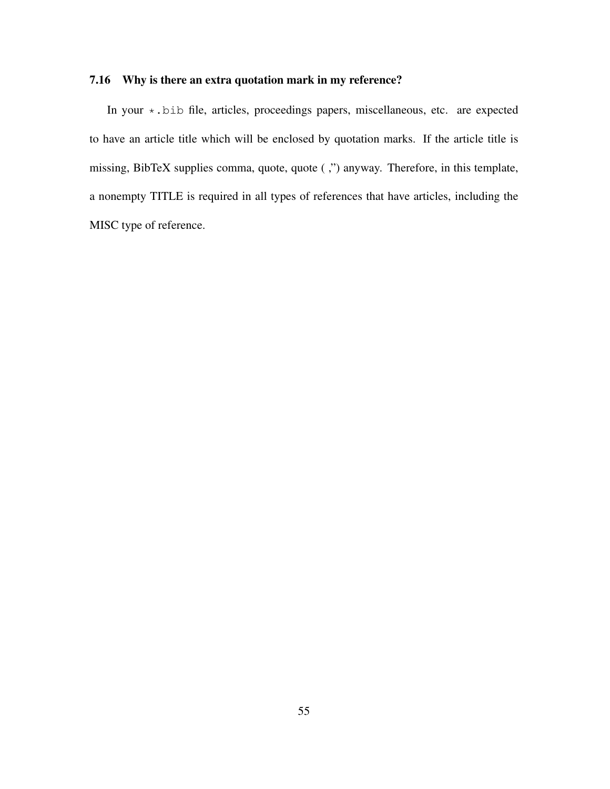## 7.16 Why is there an extra quotation mark in my reference?

In your \*.bib file, articles, proceedings papers, miscellaneous, etc. are expected to have an article title which will be enclosed by quotation marks. If the article title is missing, BibTeX supplies comma, quote, quote ( ,") anyway. Therefore, in this template, a nonempty TITLE is required in all types of references that have articles, including the MISC type of reference.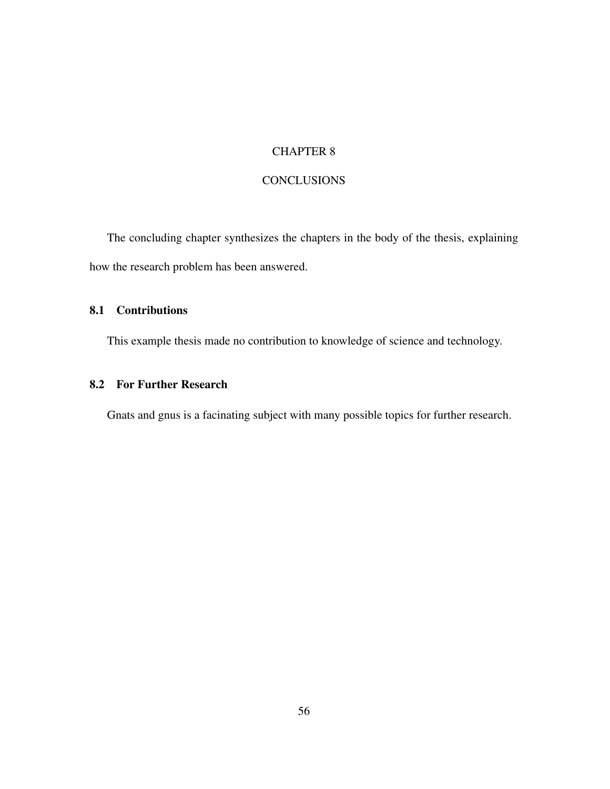## CHAPTER 8

## **CONCLUSIONS**

The concluding chapter synthesizes the chapters in the body of the thesis, explaining how the research problem has been answered.

## 8.1 Contributions

This example thesis made no contribution to knowledge of science and technology.

## 8.2 For Further Research

Gnats and gnus is a facinating subject with many possible topics for further research.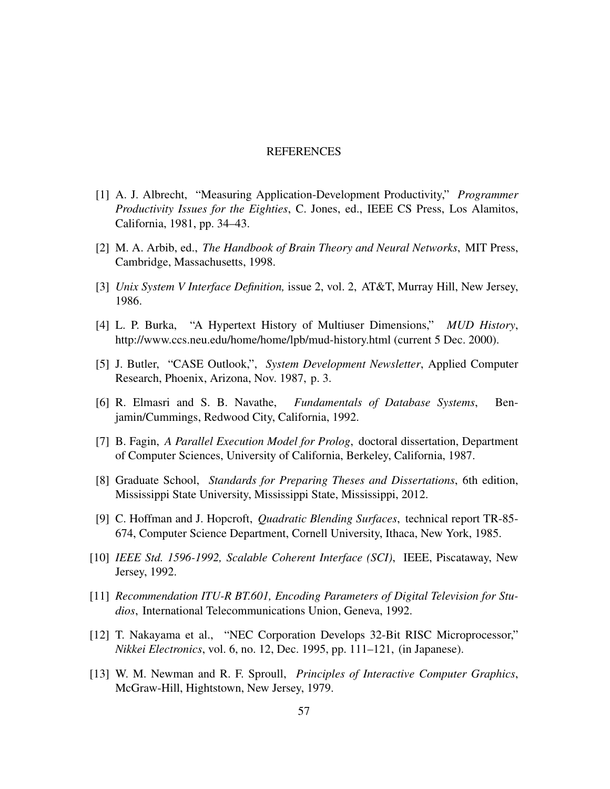### REFERENCES

- [1] A. J. Albrecht, "Measuring Application-Development Productivity," *Programmer Productivity Issues for the Eighties*, C. Jones, ed., IEEE CS Press, Los Alamitos, California, 1981, pp. 34–43.
- [2] M. A. Arbib, ed., *The Handbook of Brain Theory and Neural Networks*, MIT Press, Cambridge, Massachusetts, 1998.
- [3] *Unix System V Interface Definition,* issue 2, vol. 2, AT&T, Murray Hill, New Jersey, 1986.
- [4] L. P. Burka, "A Hypertext History of Multiuser Dimensions," *MUD History*, http://www.ccs.neu.edu/home/home/lpb/mud-history.html (current 5 Dec. 2000).
- [5] J. Butler, "CASE Outlook,", *System Development Newsletter*, Applied Computer Research, Phoenix, Arizona, Nov. 1987, p. 3.
- [6] R. Elmasri and S. B. Navathe, *Fundamentals of Database Systems*, Benjamin/Cummings, Redwood City, California, 1992.
- [7] B. Fagin, *A Parallel Execution Model for Prolog*, doctoral dissertation, Department of Computer Sciences, University of California, Berkeley, California, 1987.
- [8] Graduate School, *Standards for Preparing Theses and Dissertations*, 6th edition, Mississippi State University, Mississippi State, Mississippi, 2012.
- [9] C. Hoffman and J. Hopcroft, *Quadratic Blending Surfaces*, technical report TR-85- 674, Computer Science Department, Cornell University, Ithaca, New York, 1985.
- [10] *IEEE Std. 1596-1992, Scalable Coherent Interface (SCI)*, IEEE, Piscataway, New Jersey, 1992.
- [11] *Recommendation ITU-R BT.601, Encoding Parameters of Digital Television for Studios*, International Telecommunications Union, Geneva, 1992.
- [12] T. Nakayama et al., "NEC Corporation Develops 32-Bit RISC Microprocessor," *Nikkei Electronics*, vol. 6, no. 12, Dec. 1995, pp. 111–121, (in Japanese).
- [13] W. M. Newman and R. F. Sproull, *Principles of Interactive Computer Graphics*, McGraw-Hill, Hightstown, New Jersey, 1979.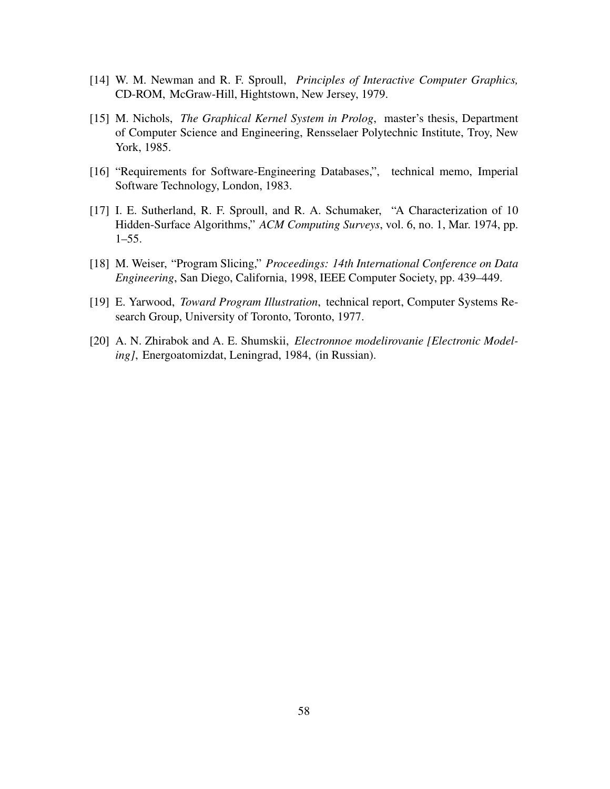- [14] W. M. Newman and R. F. Sproull, *Principles of Interactive Computer Graphics,* CD-ROM, McGraw-Hill, Hightstown, New Jersey, 1979.
- [15] M. Nichols, *The Graphical Kernel System in Prolog*, master's thesis, Department of Computer Science and Engineering, Rensselaer Polytechnic Institute, Troy, New York, 1985.
- [16] "Requirements for Software-Engineering Databases,", technical memo, Imperial Software Technology, London, 1983.
- [17] I. E. Sutherland, R. F. Sproull, and R. A. Schumaker, "A Characterization of 10 Hidden-Surface Algorithms," *ACM Computing Surveys*, vol. 6, no. 1, Mar. 1974, pp. 1–55.
- [18] M. Weiser, "Program Slicing," *Proceedings: 14th International Conference on Data Engineering*, San Diego, California, 1998, IEEE Computer Society, pp. 439–449.
- [19] E. Yarwood, *Toward Program Illustration*, technical report, Computer Systems Research Group, University of Toronto, Toronto, 1977.
- [20] A. N. Zhirabok and A. E. Shumskii, *Electronnoe modelirovanie [Electronic Modeling]*, Energoatomizdat, Leningrad, 1984, (in Russian).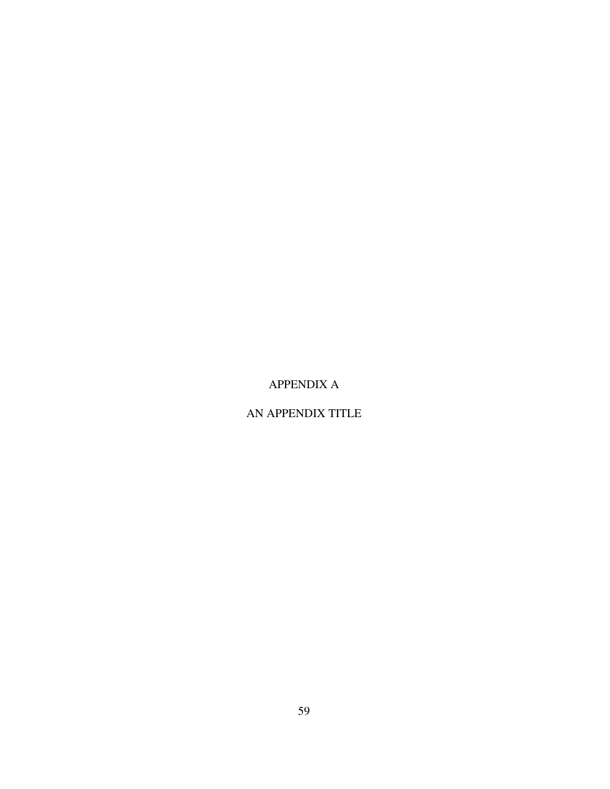# APPENDIX A

# AN APPENDIX TITLE